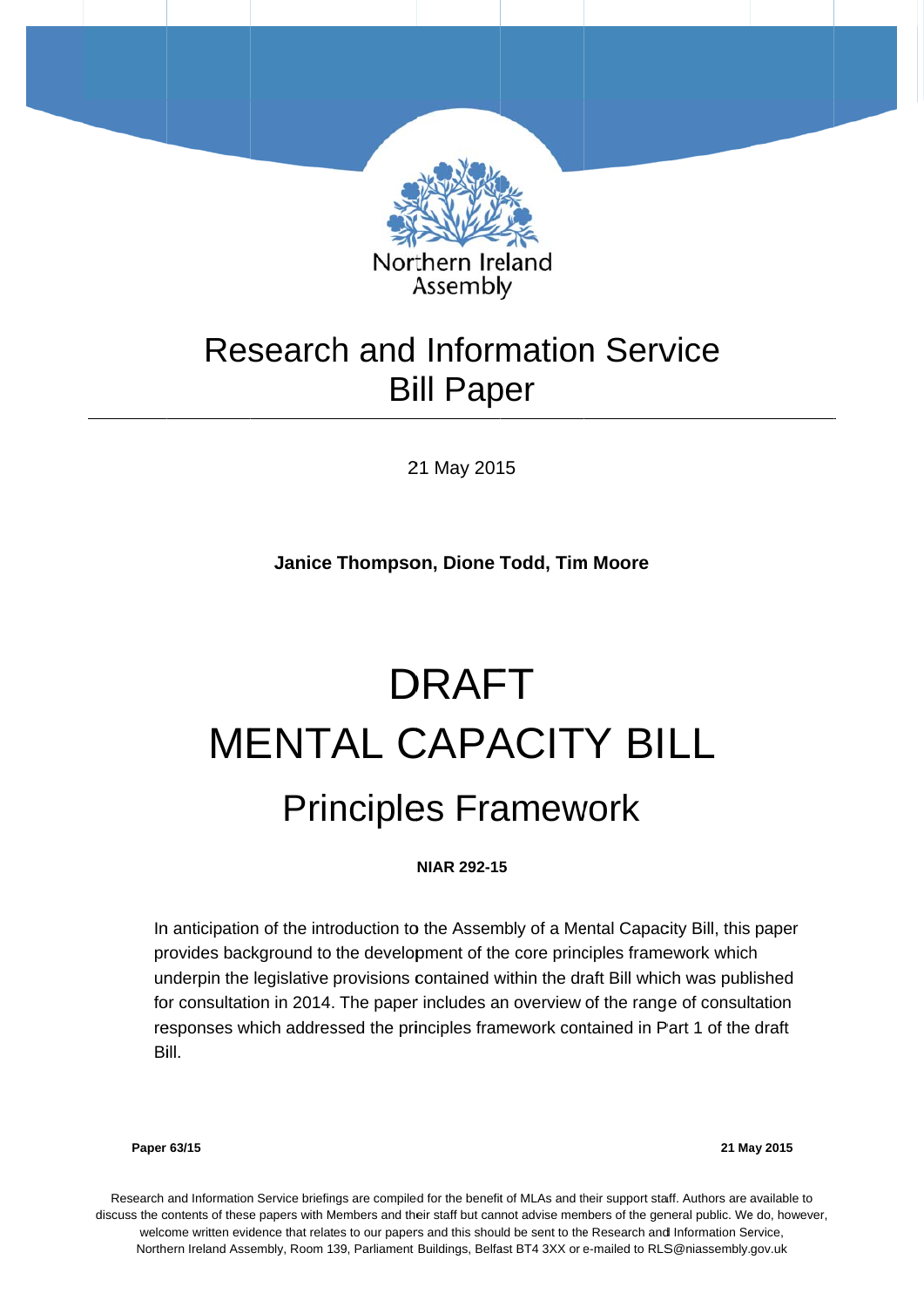

# Research and Information Service **Bill Paper**

21 May 2015

**Janice Thompson, Dione Todd, Tim Moore** 

# MENTAL CAPACITY BILL Principles Framework DRAFT

#### **NIAR 292-15 5**

In anticipation of the introduction to the Assembly of a Mental Capacity Bill, this paper provides background to the development of the core principles framework which provides background to the development of the core principles framework which<br>underpin the legislative provisions contained within the draft Bill which was published for consultation in 2014. The paper includes an overview of the range of consultation responses which addressed the principles framework contained in Part 1 of the draft Bill.

**Paper 63/15** 

**21 Ma ay 2015** 

Research and Information Service briefings are compiled for the benefit of MLAs and their support staff. Authors are available to discuss the contents of these papers with Members and their staff but cannot advise members of the general public. We do, however, welcome written evidence that relates to our papers and this should be sent to the Research and Information Service, Northern Ireland Assembly, Room 139, Parliament Buildings, Belfast BT4 3XX or e-mailed to RLS@niassembly.gov.uk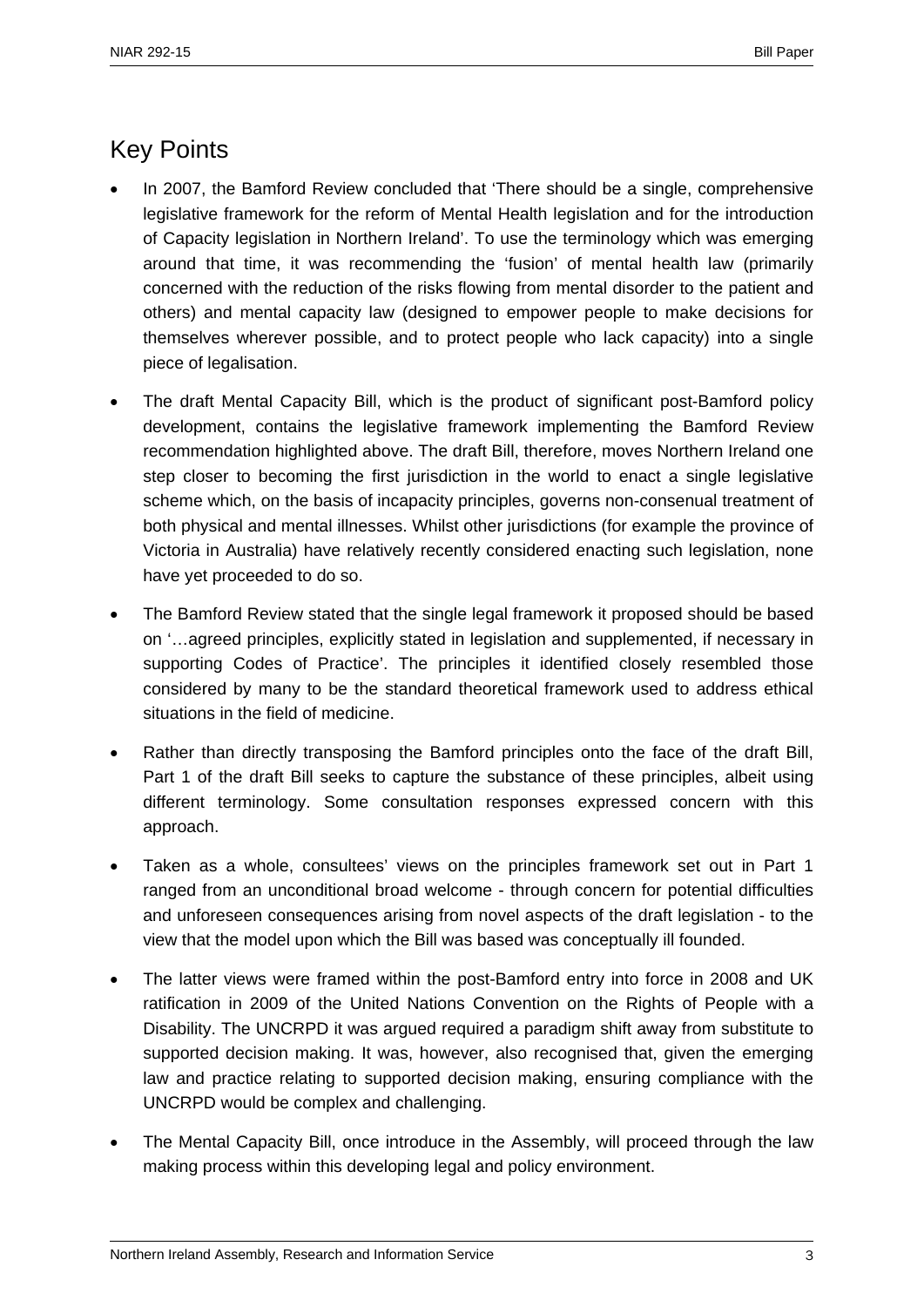# Key Points

- In 2007, the Bamford Review concluded that 'There should be a single, comprehensive legislative framework for the reform of Mental Health legislation and for the introduction of Capacity legislation in Northern Ireland'. To use the terminology which was emerging around that time, it was recommending the 'fusion' of mental health law (primarily concerned with the reduction of the risks flowing from mental disorder to the patient and others) and mental capacity law (designed to empower people to make decisions for themselves wherever possible, and to protect people who lack capacity) into a single piece of legalisation.
- The draft Mental Capacity Bill, which is the product of significant post-Bamford policy development, contains the legislative framework implementing the Bamford Review recommendation highlighted above. The draft Bill, therefore, moves Northern Ireland one step closer to becoming the first jurisdiction in the world to enact a single legislative scheme which, on the basis of incapacity principles, governs non-consenual treatment of both physical and mental illnesses. Whilst other jurisdictions (for example the province of Victoria in Australia) have relatively recently considered enacting such legislation, none have yet proceeded to do so.
- The Bamford Review stated that the single legal framework it proposed should be based on '…agreed principles, explicitly stated in legislation and supplemented, if necessary in supporting Codes of Practice'. The principles it identified closely resembled those considered by many to be the standard theoretical framework used to address ethical situations in the field of medicine.
- Rather than directly transposing the Bamford principles onto the face of the draft Bill, Part 1 of the draft Bill seeks to capture the substance of these principles, albeit using different terminology. Some consultation responses expressed concern with this approach.
- Taken as a whole, consultees' views on the principles framework set out in Part 1 ranged from an unconditional broad welcome - through concern for potential difficulties and unforeseen consequences arising from novel aspects of the draft legislation - to the view that the model upon which the Bill was based was conceptually ill founded.
- The latter views were framed within the post-Bamford entry into force in 2008 and UK ratification in 2009 of the United Nations Convention on the Rights of People with a Disability. The UNCRPD it was argued required a paradigm shift away from substitute to supported decision making. It was, however, also recognised that, given the emerging law and practice relating to supported decision making, ensuring compliance with the UNCRPD would be complex and challenging.
- The Mental Capacity Bill, once introduce in the Assembly, will proceed through the law making process within this developing legal and policy environment.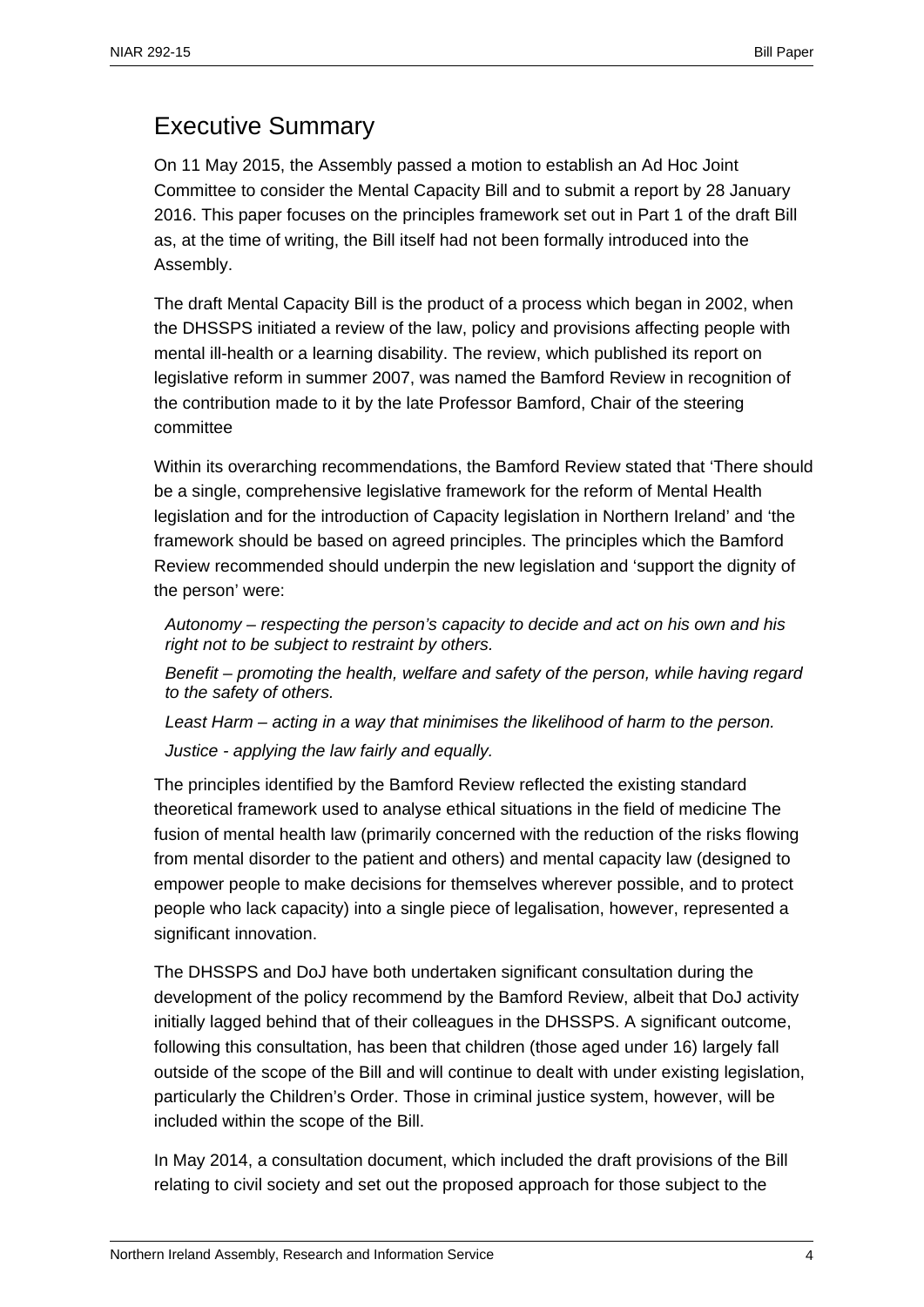# Executive Summary

On 11 May 2015, the Assembly passed a motion to establish an Ad Hoc Joint Committee to consider the Mental Capacity Bill and to submit a report by 28 January 2016. This paper focuses on the principles framework set out in Part 1 of the draft Bill as, at the time of writing, the Bill itself had not been formally introduced into the Assembly.

The draft Mental Capacity Bill is the product of a process which began in 2002, when the DHSSPS initiated a review of the law, policy and provisions affecting people with mental ill-health or a learning disability. The review, which published its report on legislative reform in summer 2007, was named the Bamford Review in recognition of the contribution made to it by the late Professor Bamford, Chair of the steering committee

Within its overarching recommendations, the Bamford Review stated that 'There should be a single, comprehensive legislative framework for the reform of Mental Health legislation and for the introduction of Capacity legislation in Northern Ireland' and 'the framework should be based on agreed principles. The principles which the Bamford Review recommended should underpin the new legislation and 'support the dignity of the person' were:

*Autonomy – respecting the person's capacity to decide and act on his own and his right not to be subject to restraint by others.* 

*Benefit – promoting the health, welfare and safety of the person, while having regard to the safety of others.* 

*Least Harm – acting in a way that minimises the likelihood of harm to the person. Justice - applying the law fairly and equally.* 

The principles identified by the Bamford Review reflected the existing standard theoretical framework used to analyse ethical situations in the field of medicine The fusion of mental health law (primarily concerned with the reduction of the risks flowing from mental disorder to the patient and others) and mental capacity law (designed to empower people to make decisions for themselves wherever possible, and to protect people who lack capacity) into a single piece of legalisation, however, represented a significant innovation.

The DHSSPS and DoJ have both undertaken significant consultation during the development of the policy recommend by the Bamford Review, albeit that DoJ activity initially lagged behind that of their colleagues in the DHSSPS. A significant outcome, following this consultation, has been that children (those aged under 16) largely fall outside of the scope of the Bill and will continue to dealt with under existing legislation, particularly the Children's Order. Those in criminal justice system, however, will be included within the scope of the Bill.

In May 2014, a consultation document, which included the draft provisions of the Bill relating to civil society and set out the proposed approach for those subject to the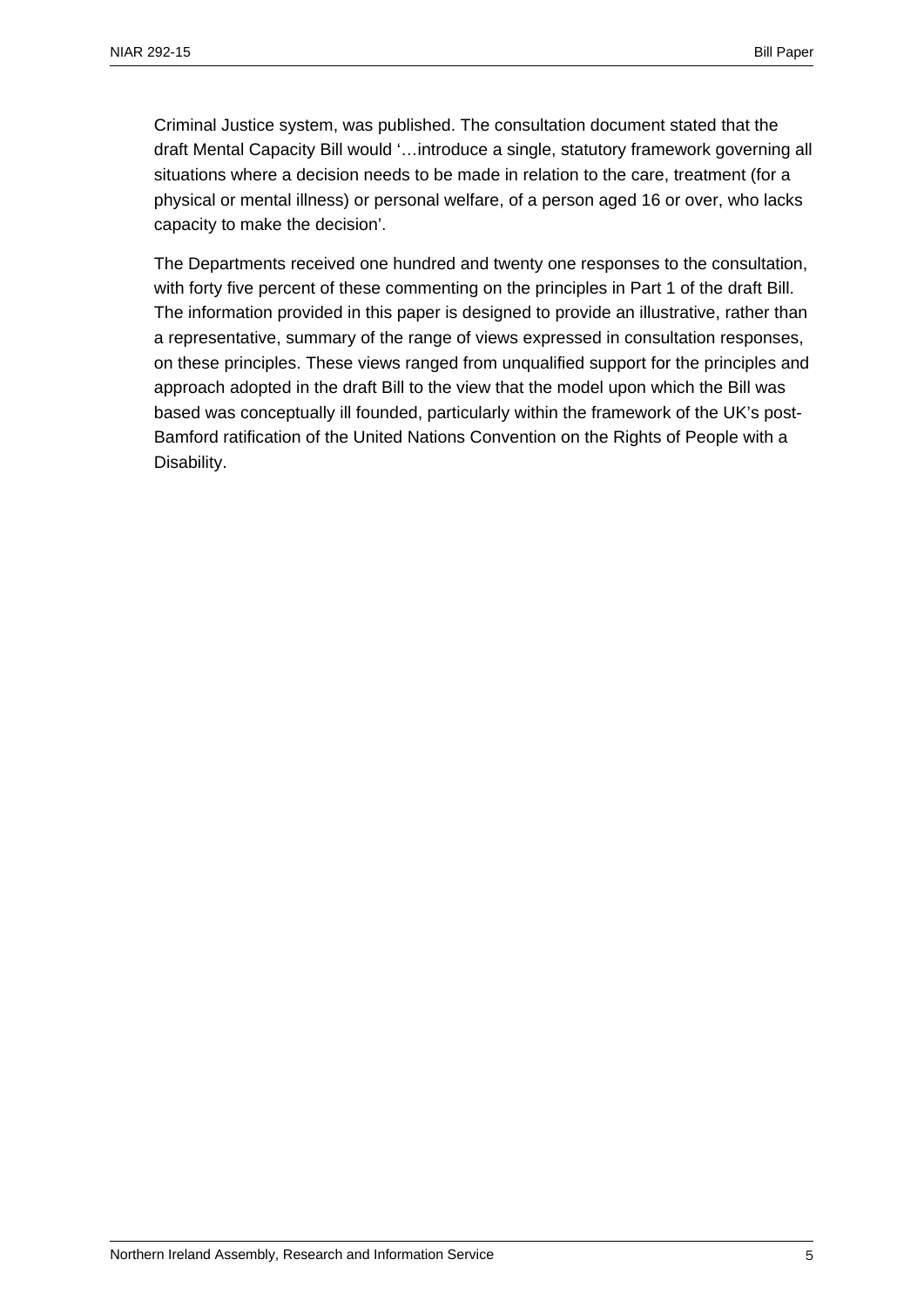Criminal Justice system, was published. The consultation document stated that the draft Mental Capacity Bill would '…introduce a single, statutory framework governing all situations where a decision needs to be made in relation to the care, treatment (for a physical or mental illness) or personal welfare, of a person aged 16 or over, who lacks capacity to make the decision'.

The Departments received one hundred and twenty one responses to the consultation, with forty five percent of these commenting on the principles in Part 1 of the draft Bill. The information provided in this paper is designed to provide an illustrative, rather than a representative, summary of the range of views expressed in consultation responses, on these principles. These views ranged from unqualified support for the principles and approach adopted in the draft Bill to the view that the model upon which the Bill was based was conceptually ill founded, particularly within the framework of the UK's post-Bamford ratification of the United Nations Convention on the Rights of People with a Disability.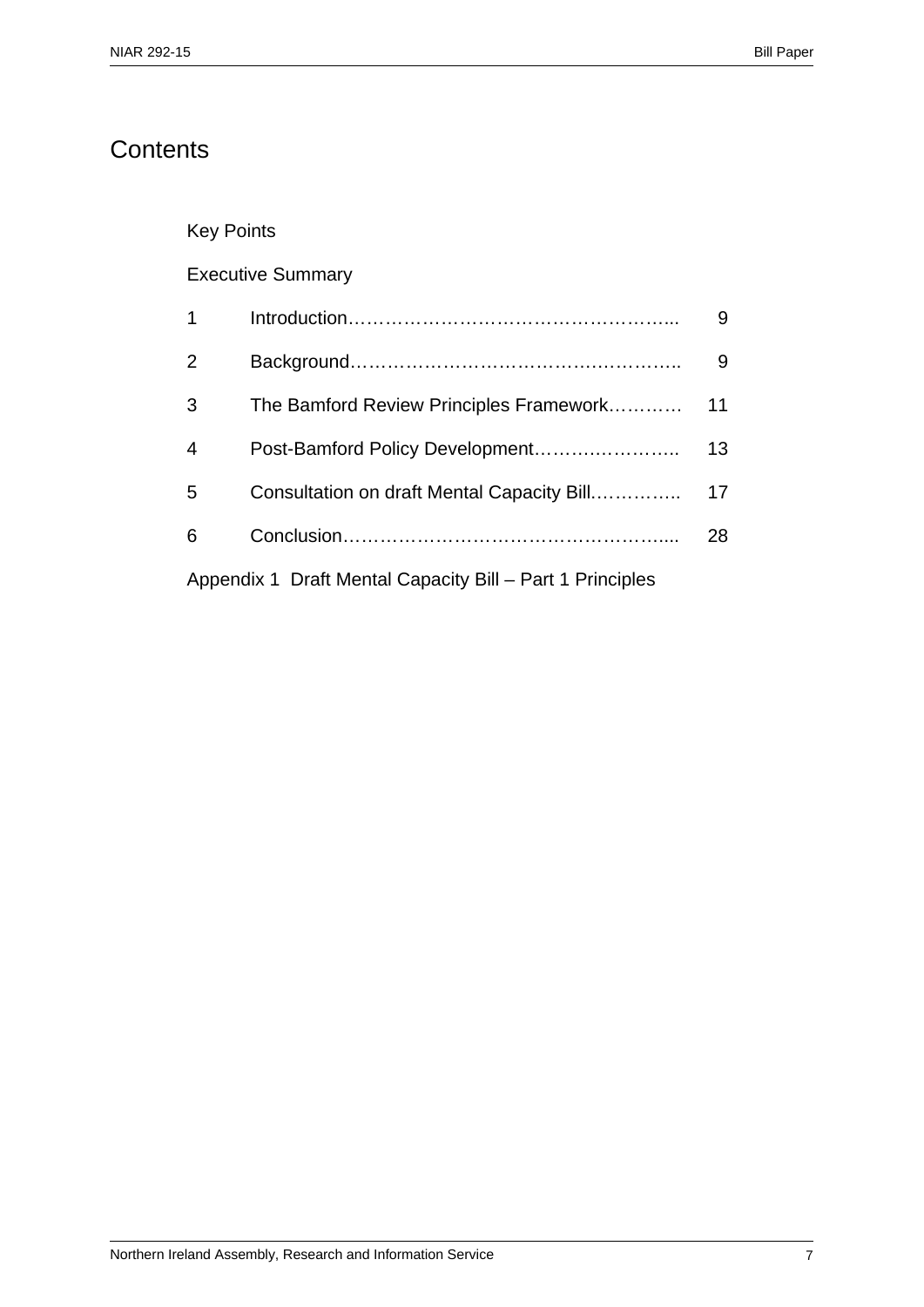# **Contents**

## Key Points

## Executive Summary

| $\overline{1}$                                            |                                            | 9  |
|-----------------------------------------------------------|--------------------------------------------|----|
| 2                                                         |                                            | 9  |
| 3                                                         | The Bamford Review Principles Framework    | 11 |
| $\overline{4}$                                            | Post-Bamford Policy Development            | 13 |
| 5                                                         | Consultation on draft Mental Capacity Bill | 17 |
| 6                                                         |                                            | 28 |
| Appendix 1 Draft Mental Capacity Bill – Part 1 Principles |                                            |    |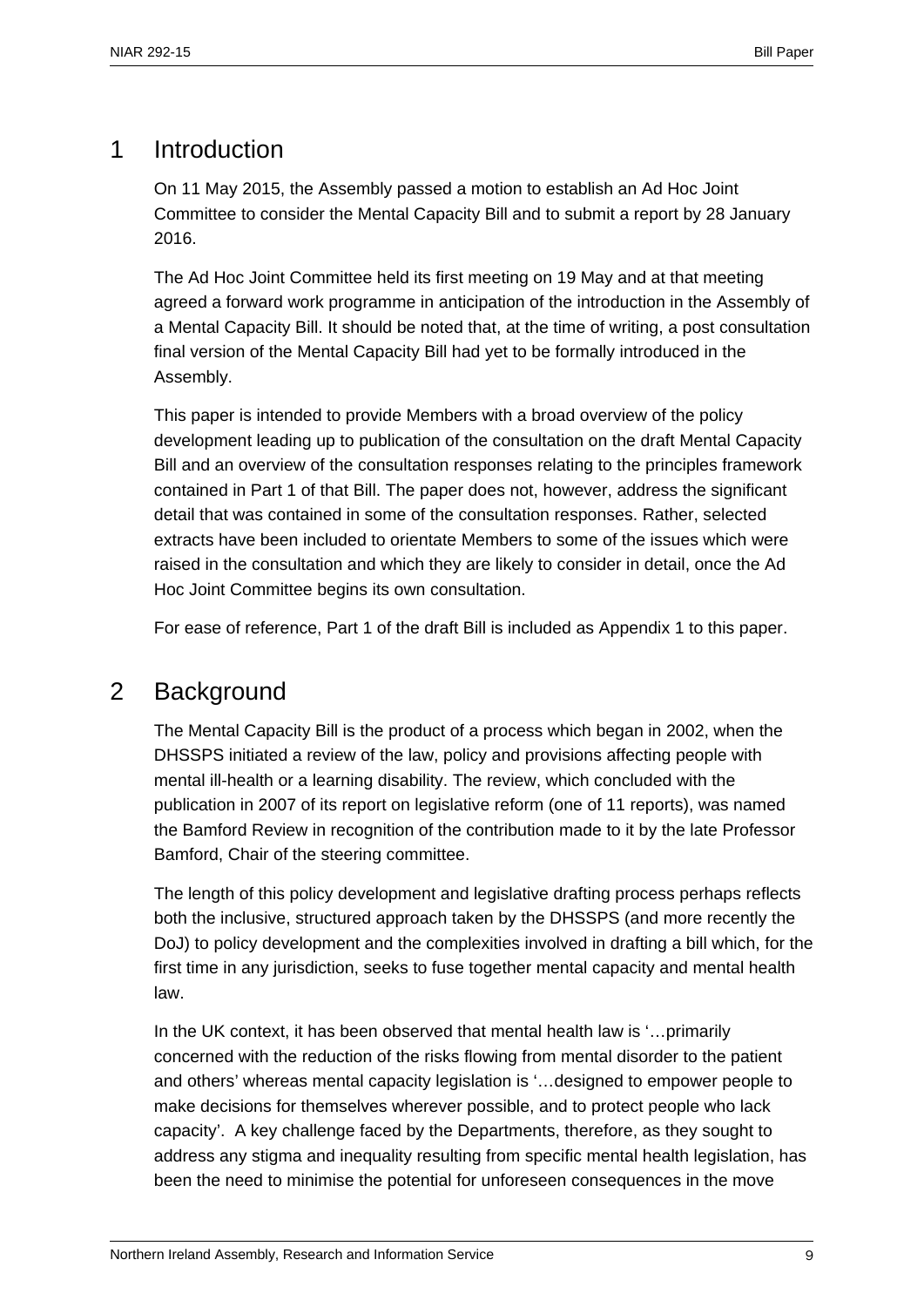# 1 Introduction

On 11 May 2015, the Assembly passed a motion to establish an Ad Hoc Joint Committee to consider the Mental Capacity Bill and to submit a report by 28 January 2016.

The Ad Hoc Joint Committee held its first meeting on 19 May and at that meeting agreed a forward work programme in anticipation of the introduction in the Assembly of a Mental Capacity Bill. It should be noted that, at the time of writing, a post consultation final version of the Mental Capacity Bill had yet to be formally introduced in the Assembly.

This paper is intended to provide Members with a broad overview of the policy development leading up to publication of the consultation on the draft Mental Capacity Bill and an overview of the consultation responses relating to the principles framework contained in Part 1 of that Bill. The paper does not, however, address the significant detail that was contained in some of the consultation responses. Rather, selected extracts have been included to orientate Members to some of the issues which were raised in the consultation and which they are likely to consider in detail, once the Ad Hoc Joint Committee begins its own consultation.

For ease of reference, Part 1 of the draft Bill is included as Appendix 1 to this paper.

## 2 Background

The Mental Capacity Bill is the product of a process which began in 2002, when the DHSSPS initiated a review of the law, policy and provisions affecting people with mental ill-health or a learning disability. The review, which concluded with the publication in 2007 of its report on legislative reform (one of 11 reports), was named the Bamford Review in recognition of the contribution made to it by the late Professor Bamford, Chair of the steering committee.

The length of this policy development and legislative drafting process perhaps reflects both the inclusive, structured approach taken by the DHSSPS (and more recently the DoJ) to policy development and the complexities involved in drafting a bill which, for the first time in any jurisdiction, seeks to fuse together mental capacity and mental health law.

In the UK context, it has been observed that mental health law is '…primarily concerned with the reduction of the risks flowing from mental disorder to the patient and others' whereas mental capacity legislation is '…designed to empower people to make decisions for themselves wherever possible, and to protect people who lack capacity'. A key challenge faced by the Departments, therefore, as they sought to address any stigma and inequality resulting from specific mental health legislation, has been the need to minimise the potential for unforeseen consequences in the move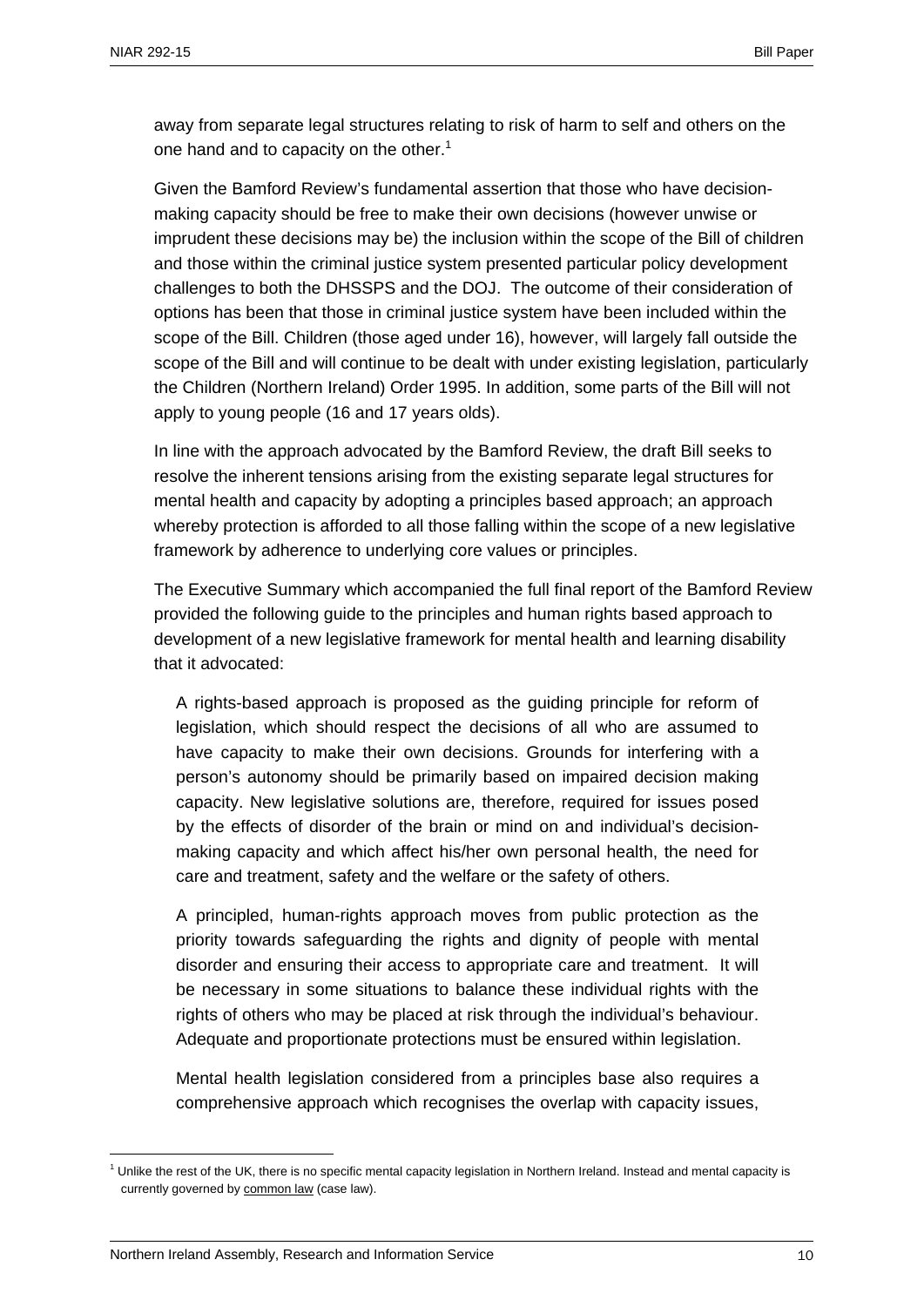away from separate legal structures relating to risk of harm to self and others on the one hand and to capacity on the other.<sup>1</sup>

Given the Bamford Review's fundamental assertion that those who have decisionmaking capacity should be free to make their own decisions (however unwise or imprudent these decisions may be) the inclusion within the scope of the Bill of children and those within the criminal justice system presented particular policy development challenges to both the DHSSPS and the DOJ. The outcome of their consideration of options has been that those in criminal justice system have been included within the scope of the Bill. Children (those aged under 16), however, will largely fall outside the scope of the Bill and will continue to be dealt with under existing legislation, particularly the Children (Northern Ireland) Order 1995. In addition, some parts of the Bill will not apply to young people (16 and 17 years olds).

In line with the approach advocated by the Bamford Review, the draft Bill seeks to resolve the inherent tensions arising from the existing separate legal structures for mental health and capacity by adopting a principles based approach; an approach whereby protection is afforded to all those falling within the scope of a new legislative framework by adherence to underlying core values or principles.

The Executive Summary which accompanied the full final report of the Bamford Review provided the following guide to the principles and human rights based approach to development of a new legislative framework for mental health and learning disability that it advocated:

A rights-based approach is proposed as the guiding principle for reform of legislation, which should respect the decisions of all who are assumed to have capacity to make their own decisions. Grounds for interfering with a person's autonomy should be primarily based on impaired decision making capacity. New legislative solutions are, therefore, required for issues posed by the effects of disorder of the brain or mind on and individual's decisionmaking capacity and which affect his/her own personal health, the need for care and treatment, safety and the welfare or the safety of others.

A principled, human-rights approach moves from public protection as the priority towards safeguarding the rights and dignity of people with mental disorder and ensuring their access to appropriate care and treatment. It will be necessary in some situations to balance these individual rights with the rights of others who may be placed at risk through the individual's behaviour. Adequate and proportionate protections must be ensured within legislation.

Mental health legislation considered from a principles base also requires a comprehensive approach which recognises the overlap with capacity issues,

<sup>&</sup>lt;sup>1</sup> Unlike the rest of the UK, there is no specific mental capacity legislation in Northern Ireland. Instead and mental capacity is currently governed by common law (case law).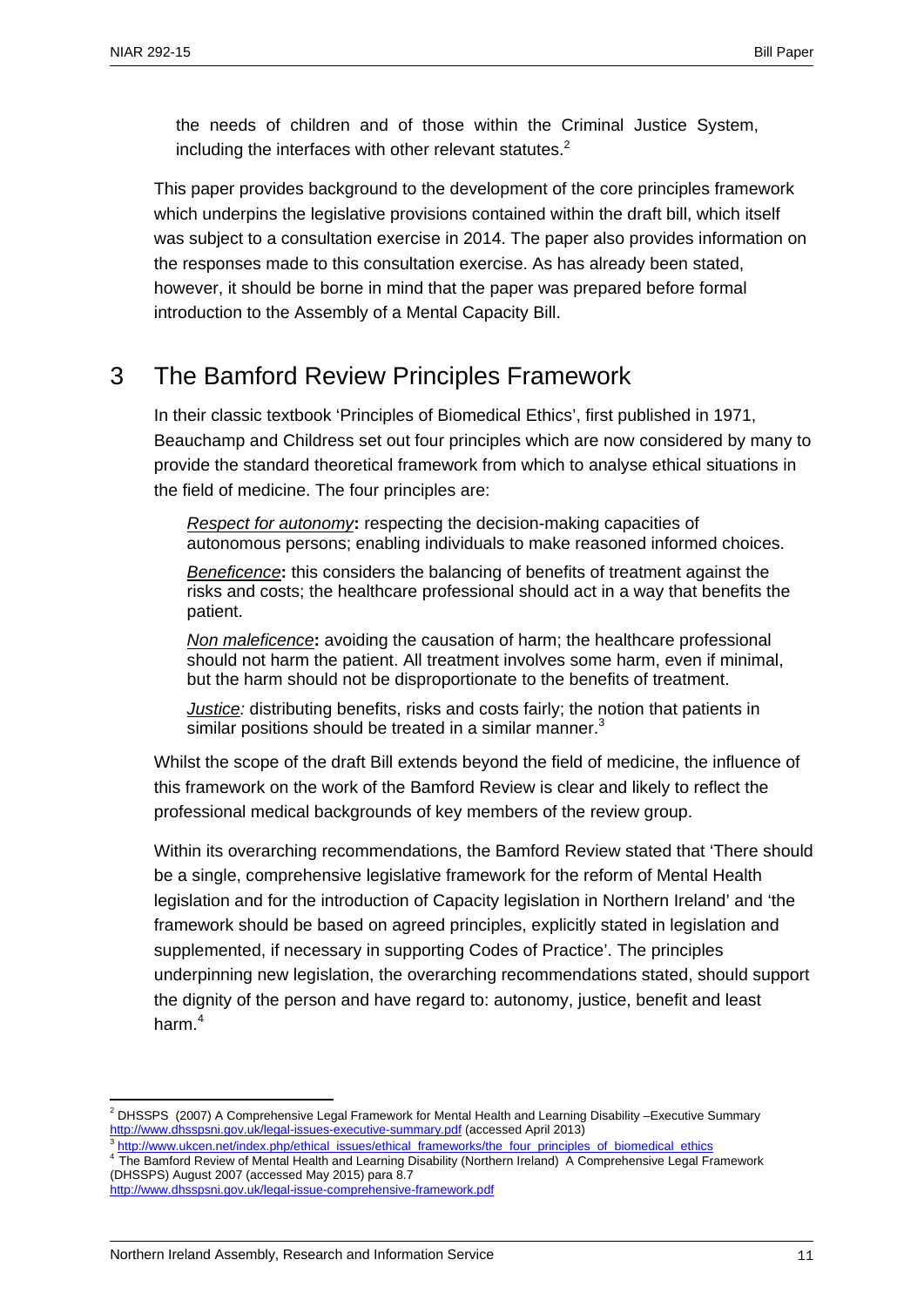the needs of children and of those within the Criminal Justice System, including the interfaces with other relevant statutes. $<sup>2</sup>$ </sup>

This paper provides background to the development of the core principles framework which underpins the legislative provisions contained within the draft bill, which itself was subject to a consultation exercise in 2014. The paper also provides information on the responses made to this consultation exercise. As has already been stated, however, it should be borne in mind that the paper was prepared before formal introduction to the Assembly of a Mental Capacity Bill.

# 3 The Bamford Review Principles Framework

In their classic textbook 'Principles of Biomedical Ethics', first published in 1971, Beauchamp and Childress set out four principles which are now considered by many to provide the standard theoretical framework from which to analyse ethical situations in the field of medicine. The four principles are:

*Respect for autonomy***:** respecting the decision-making capacities of autonomous persons; enabling individuals to make reasoned informed choices.

*Beneficence***:** this considers the balancing of benefits of treatment against the risks and costs; the healthcare professional should act in a way that benefits the patient.

*Non maleficence***:** avoiding the causation of harm; the healthcare professional should not harm the patient. All treatment involves some harm, even if minimal, but the harm should not be disproportionate to the benefits of treatment.

*Justice:* distributing benefits, risks and costs fairly; the notion that patients in similar positions should be treated in a similar manner.<sup>3</sup>

Whilst the scope of the draft Bill extends beyond the field of medicine, the influence of this framework on the work of the Bamford Review is clear and likely to reflect the professional medical backgrounds of key members of the review group.

Within its overarching recommendations, the Bamford Review stated that 'There should be a single, comprehensive legislative framework for the reform of Mental Health legislation and for the introduction of Capacity legislation in Northern Ireland' and 'the framework should be based on agreed principles, explicitly stated in legislation and supplemented, if necessary in supporting Codes of Practice'. The principles underpinning new legislation, the overarching recommendations stated, should support the dignity of the person and have regard to: autonomy, justice, benefit and least harm.<sup>4</sup>

<sup>3</sup> http://www.ukcen.net/index.php/ethical\_issues/ethical\_frameworks/the\_four\_principles\_of\_biomedical\_ethics 4 The Bamford Review of Mental Health and Learning Disability (Northern Ireland) A Comprehensive Legal Framework (DHSSPS) August 2007 (accessed May 2015) para 8.7

<sup>1</sup> <sup>2</sup> DHSSPS (2007) A Comprehensive Legal Framework for Mental Health and Learning Disability –Executive Summary http://www.dhsspsni.gov.uk/legal-issues-executive-summary.pdf (accessed April 2013)

http://www.dhsspsni.gov.uk/legal-issue-comprehensive-framework.pdf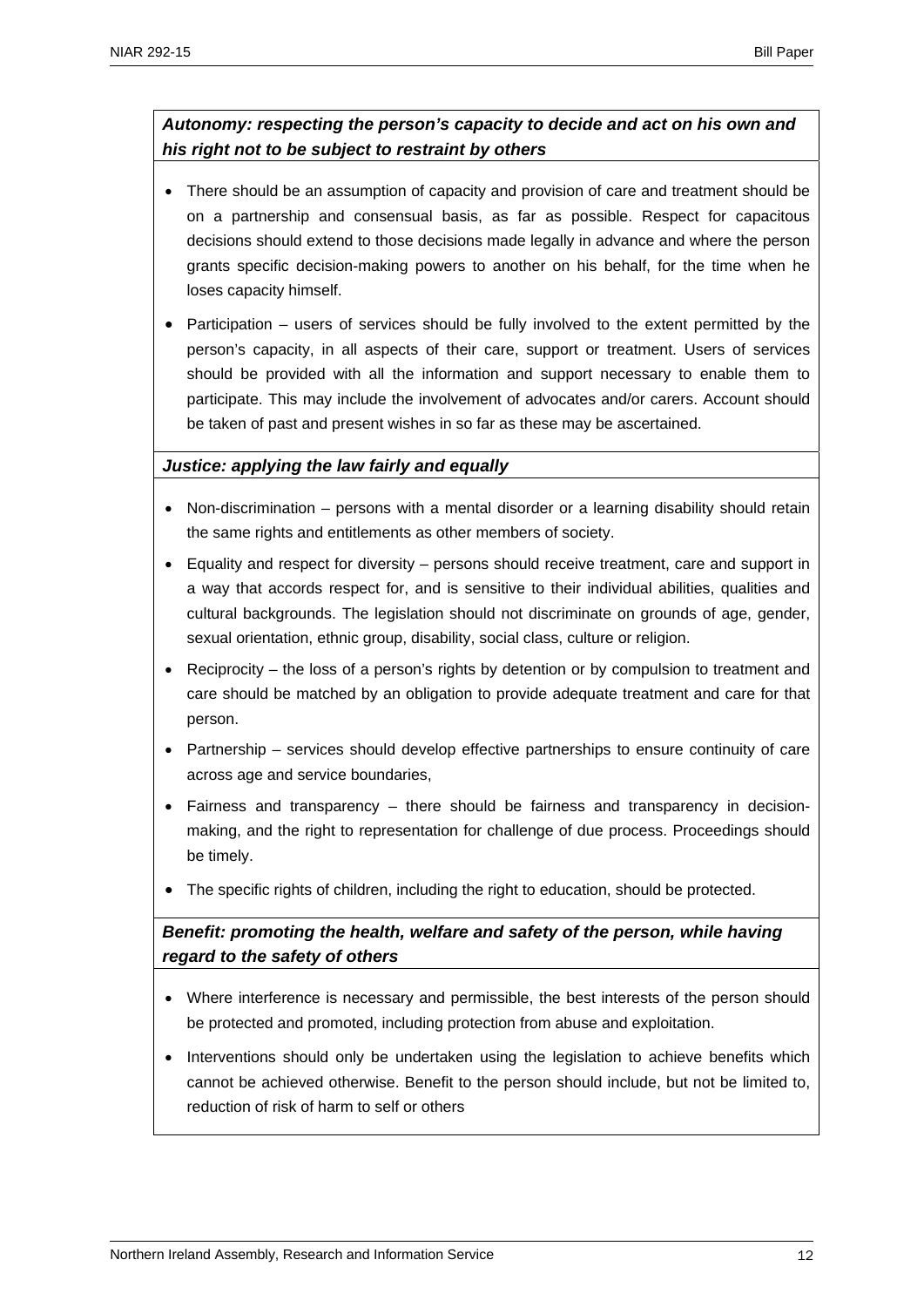## *Autonomy: respecting the person's capacity to decide and act on his own and his right not to be subject to restraint by others*

- There should be an assumption of capacity and provision of care and treatment should be on a partnership and consensual basis, as far as possible. Respect for capacitous decisions should extend to those decisions made legally in advance and where the person grants specific decision-making powers to another on his behalf, for the time when he loses capacity himself.
- Participation users of services should be fully involved to the extent permitted by the person's capacity, in all aspects of their care, support or treatment. Users of services should be provided with all the information and support necessary to enable them to participate. This may include the involvement of advocates and/or carers. Account should be taken of past and present wishes in so far as these may be ascertained.

## *Justice: applying the law fairly and equally*

- Non-discrimination persons with a mental disorder or a learning disability should retain the same rights and entitlements as other members of society.
- Equality and respect for diversity persons should receive treatment, care and support in a way that accords respect for, and is sensitive to their individual abilities, qualities and cultural backgrounds. The legislation should not discriminate on grounds of age, gender, sexual orientation, ethnic group, disability, social class, culture or religion.
- Reciprocity the loss of a person's rights by detention or by compulsion to treatment and care should be matched by an obligation to provide adequate treatment and care for that person.
- Partnership services should develop effective partnerships to ensure continuity of care across age and service boundaries,
- Fairness and transparency there should be fairness and transparency in decisionmaking, and the right to representation for challenge of due process. Proceedings should be timely.
- The specific rights of children, including the right to education, should be protected.

## *Benefit: promoting the health, welfare and safety of the person, while having regard to the safety of others*

- Where interference is necessary and permissible, the best interests of the person should be protected and promoted, including protection from abuse and exploitation.
- Interventions should only be undertaken using the legislation to achieve benefits which cannot be achieved otherwise. Benefit to the person should include, but not be limited to, reduction of risk of harm to self or others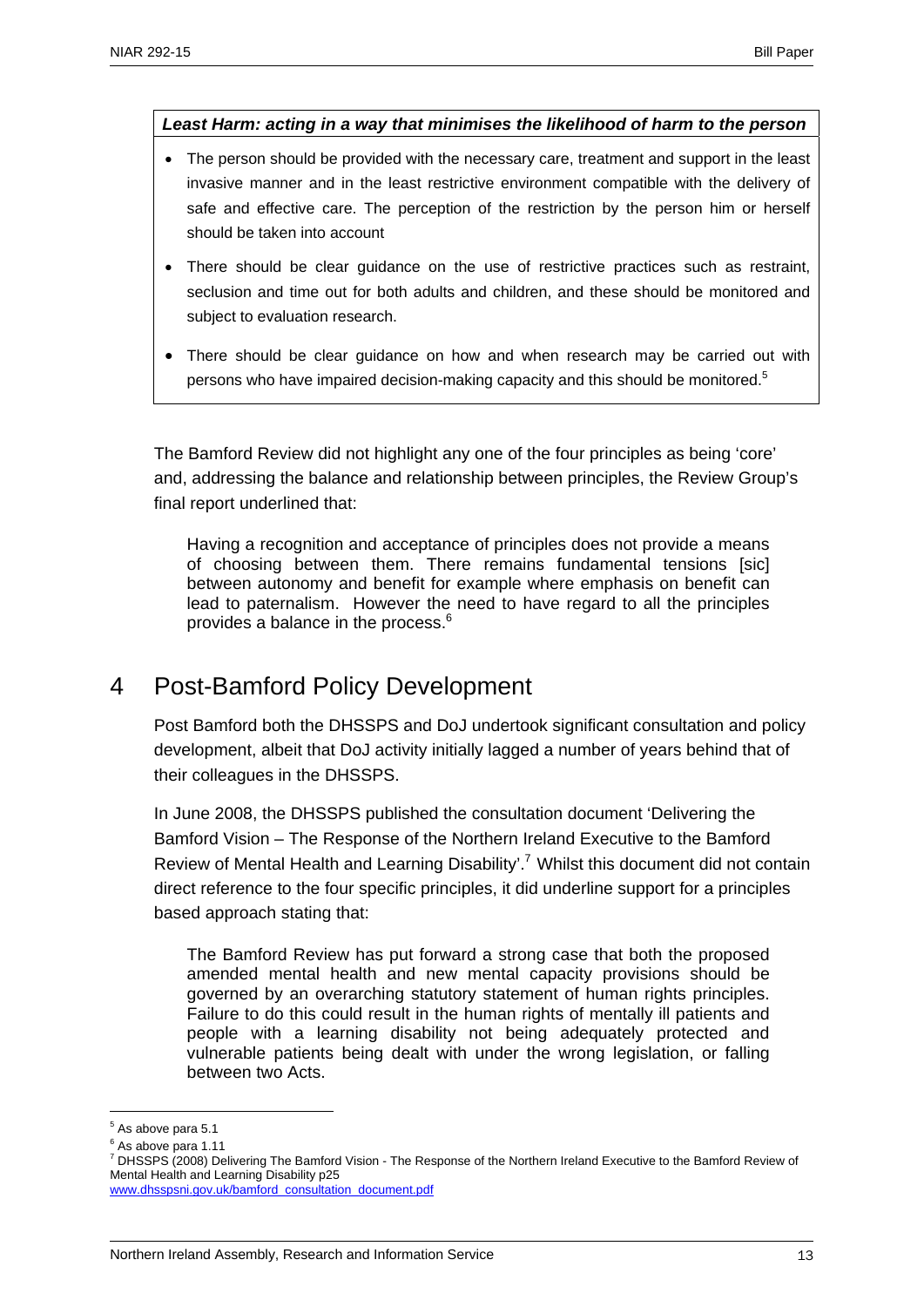#### *Least Harm: acting in a way that minimises the likelihood of harm to the person*

- The person should be provided with the necessary care, treatment and support in the least invasive manner and in the least restrictive environment compatible with the delivery of safe and effective care. The perception of the restriction by the person him or herself should be taken into account
- There should be clear quidance on the use of restrictive practices such as restraint, seclusion and time out for both adults and children, and these should be monitored and subject to evaluation research.
- There should be clear guidance on how and when research may be carried out with persons who have impaired decision-making capacity and this should be monitored.<sup>5</sup>

The Bamford Review did not highlight any one of the four principles as being 'core' and, addressing the balance and relationship between principles, the Review Group's final report underlined that:

Having a recognition and acceptance of principles does not provide a means of choosing between them. There remains fundamental tensions [sic] between autonomy and benefit for example where emphasis on benefit can lead to paternalism. However the need to have regard to all the principles provides a balance in the process.<sup>6</sup>

## 4 Post-Bamford Policy Development

Post Bamford both the DHSSPS and DoJ undertook significant consultation and policy development, albeit that DoJ activity initially lagged a number of years behind that of their colleagues in the DHSSPS.

In June 2008, the DHSSPS published the consultation document 'Delivering the Bamford Vision – The Response of the Northern Ireland Executive to the Bamford Review of Mental Health and Learning Disability'.<sup>7</sup> Whilst this document did not contain direct reference to the four specific principles, it did underline support for a principles based approach stating that:

The Bamford Review has put forward a strong case that both the proposed amended mental health and new mental capacity provisions should be governed by an overarching statutory statement of human rights principles. Failure to do this could result in the human rights of mentally ill patients and people with a learning disability not being adequately protected and vulnerable patients being dealt with under the wrong legislation, or falling between two Acts.

<u>.</u>

 $<sup>5</sup>$  As above para 5.1</sup>

<sup>&</sup>lt;sup>6</sup> As above para 1.11

<sup>&</sup>lt;sup>7</sup> DHSSPS (2008) Delivering The Bamford Vision - The Response of the Northern Ireland Executive to the Bamford Review of Mental Health and Learning Disability p25

www.dhsspsni.gov.uk/bamford\_consultation\_document.pdf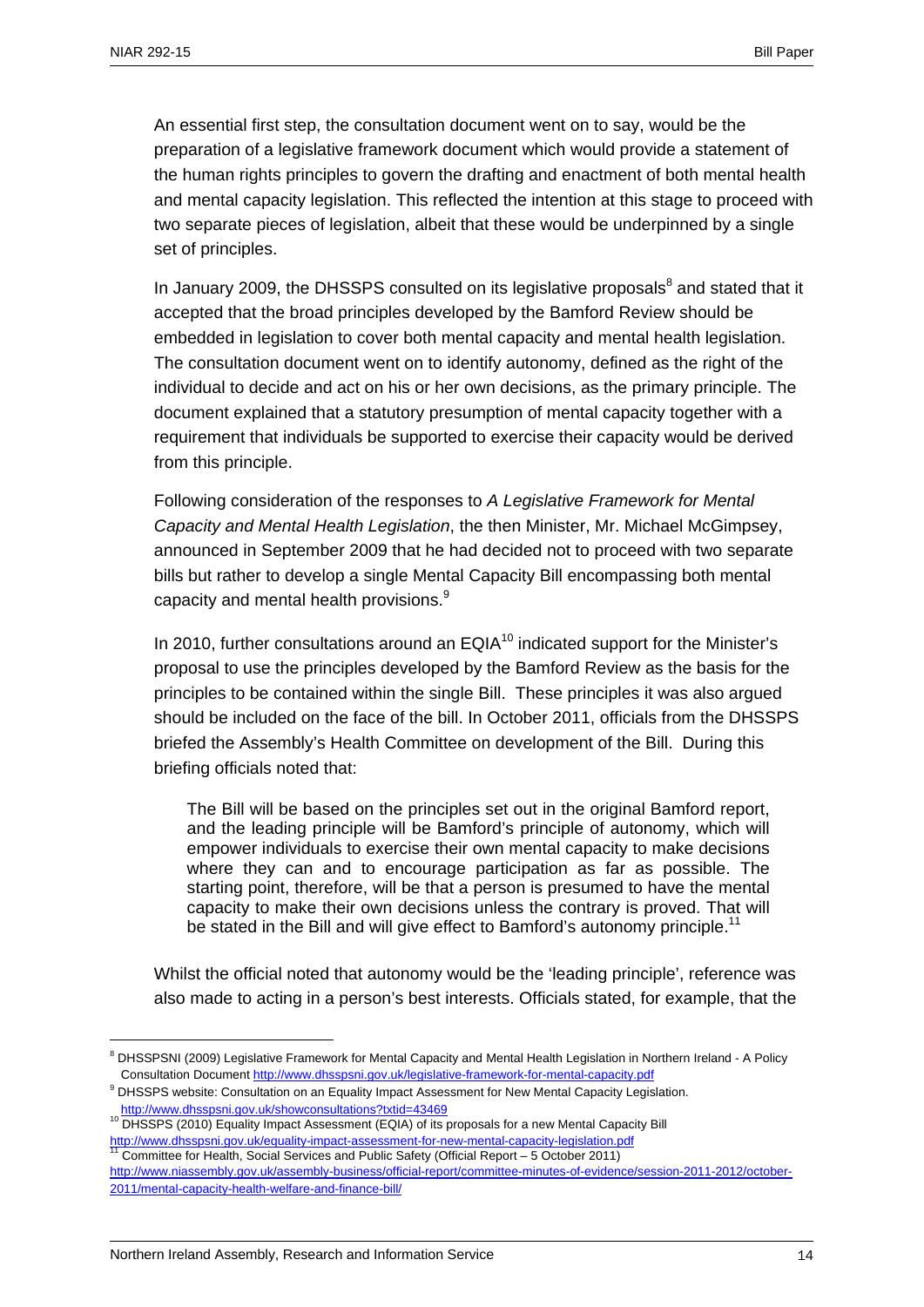An essential first step, the consultation document went on to say, would be the preparation of a legislative framework document which would provide a statement of the human rights principles to govern the drafting and enactment of both mental health and mental capacity legislation. This reflected the intention at this stage to proceed with two separate pieces of legislation, albeit that these would be underpinned by a single set of principles.

In January 2009, the DHSSPS consulted on its legislative proposals $<sup>8</sup>$  and stated that it</sup> accepted that the broad principles developed by the Bamford Review should be embedded in legislation to cover both mental capacity and mental health legislation. The consultation document went on to identify autonomy, defined as the right of the individual to decide and act on his or her own decisions, as the primary principle. The document explained that a statutory presumption of mental capacity together with a requirement that individuals be supported to exercise their capacity would be derived from this principle.

Following consideration of the responses to *A Legislative Framework for Mental Capacity and Mental Health Legislation*, the then Minister, Mr. Michael McGimpsey, announced in September 2009 that he had decided not to proceed with two separate bills but rather to develop a single Mental Capacity Bill encompassing both mental capacity and mental health provisions.<sup>9</sup>

In 2010, further consultations around an  $EQIA<sup>10</sup>$  indicated support for the Minister's proposal to use the principles developed by the Bamford Review as the basis for the principles to be contained within the single Bill. These principles it was also argued should be included on the face of the bill. In October 2011, officials from the DHSSPS briefed the Assembly's Health Committee on development of the Bill. During this briefing officials noted that:

The Bill will be based on the principles set out in the original Bamford report, and the leading principle will be Bamford's principle of autonomy, which will empower individuals to exercise their own mental capacity to make decisions where they can and to encourage participation as far as possible. The starting point, therefore, will be that a person is presumed to have the mental capacity to make their own decisions unless the contrary is proved. That will be stated in the Bill and will give effect to Bamford's autonomy principle.<sup>11</sup>

Whilst the official noted that autonomy would be the 'leading principle', reference was also made to acting in a person's best interests. Officials stated, for example, that the

<u>.</u>

<sup>&</sup>lt;sup>8</sup> DHSSPSNI (2009) Legislative Framework for Mental Capacity and Mental Health Legislation in Northern Ireland - A Policy Consultation Document http://www.dhsspsni.gov.uk/legislative-framework-for-mental-capacity.pdf 9

<sup>&</sup>lt;sup>9</sup> DHSSPS website: Consultation on an Equality Impact Assessment for New Mental Capacity Legislation.

<sup>10</sup> http://www.dhsspsni.gov.uk/showconsultations?txtid=43469<br>10 DHSSPS (2010) Equality Impact Assessment (EQIA) of its proposals for a new Mental Capacity Bill http://www.dhsspsni.gov.uk/equality-impact-assessment-for-new-mental-capacity-legislation.pdf<br><sup>11</sup> Committee for Health, Social Services and Public Safety (Official Report – 5 October 2011)

http://www.niassembly.gov.uk/assembly-business/official-report/committee-minutes-of-evidence/session-2011-2012/october-2011/mental-capacity-health-welfare-and-finance-bill/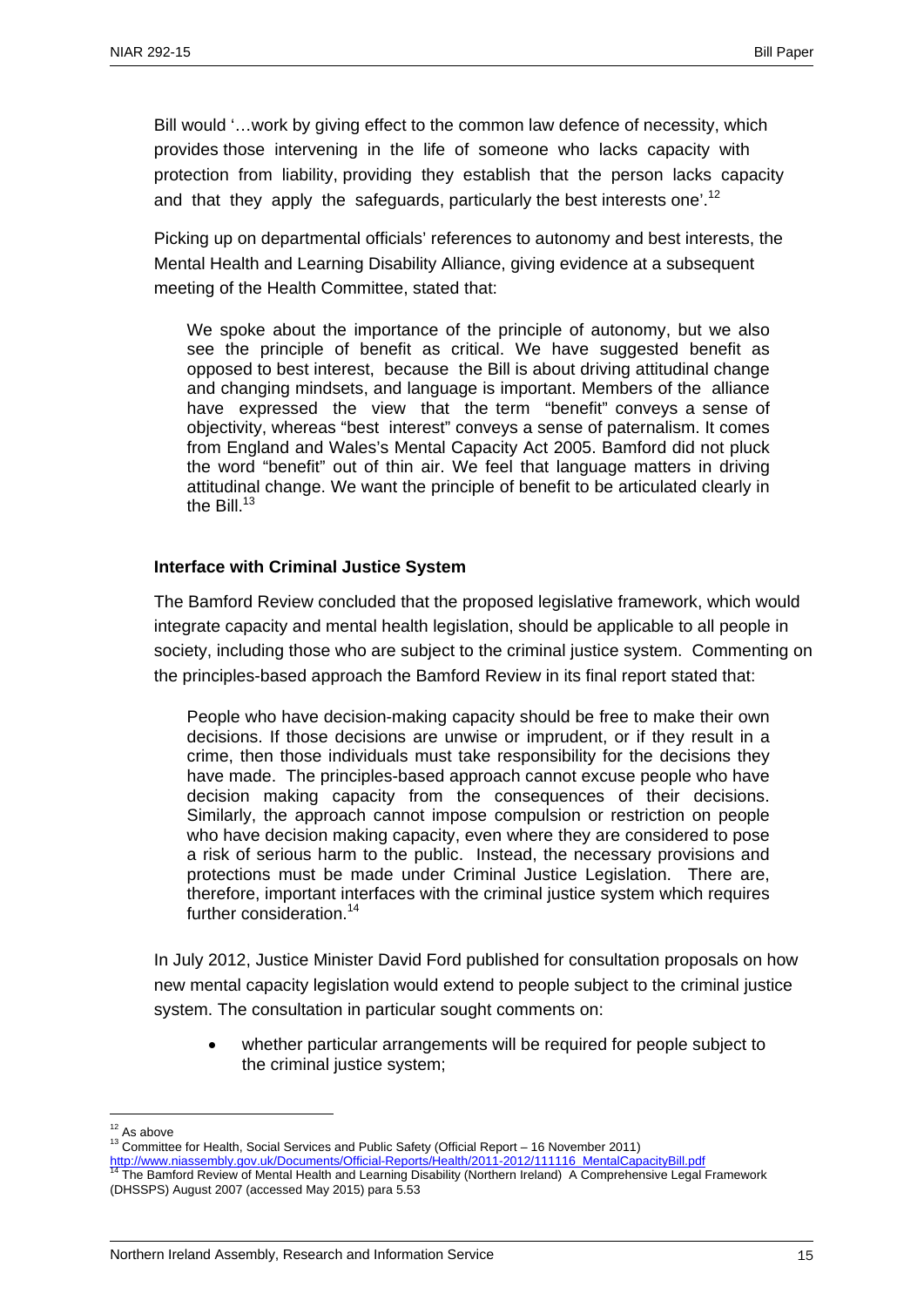Bill would '…work by giving effect to the common law defence of necessity, which provides those intervening in the life of someone who lacks capacity with protection from liability, providing they establish that the person lacks capacity and that they apply the safeguards, particularly the best interests one'.<sup>12</sup>

Picking up on departmental officials' references to autonomy and best interests, the Mental Health and Learning Disability Alliance, giving evidence at a subsequent meeting of the Health Committee, stated that:

We spoke about the importance of the principle of autonomy, but we also see the principle of benefit as critical. We have suggested benefit as opposed to best interest, because the Bill is about driving attitudinal change and changing mindsets, and language is important. Members of the alliance have expressed the view that the term "benefit" conveys a sense of objectivity, whereas "best interest" conveys a sense of paternalism. It comes from England and Wales's Mental Capacity Act 2005. Bamford did not pluck the word "benefit" out of thin air. We feel that language matters in driving attitudinal change. We want the principle of benefit to be articulated clearly in the Bill $13$ 

#### **Interface with Criminal Justice System**

The Bamford Review concluded that the proposed legislative framework, which would integrate capacity and mental health legislation, should be applicable to all people in society, including those who are subject to the criminal justice system. Commenting on the principles-based approach the Bamford Review in its final report stated that:

People who have decision-making capacity should be free to make their own decisions. If those decisions are unwise or imprudent, or if they result in a crime, then those individuals must take responsibility for the decisions they have made. The principles-based approach cannot excuse people who have decision making capacity from the consequences of their decisions. Similarly, the approach cannot impose compulsion or restriction on people who have decision making capacity, even where they are considered to pose a risk of serious harm to the public. Instead, the necessary provisions and protections must be made under Criminal Justice Legislation. There are, therefore, important interfaces with the criminal justice system which requires further consideration.<sup>14</sup>

In July 2012, Justice Minister David Ford published for consultation proposals on how new mental capacity legislation would extend to people subject to the criminal justice system. The consultation in particular sought comments on:

• whether particular arrangements will be required for people subject to the criminal justice system;

 $12$  As above

<sup>13</sup> Committee for Health, Social Services and Public Safety (Official Report – 16 November 2011)

http://www.niassembly.gov.uk/Documents/Official-Reports/Health/2011-2012/111116\_MentalCapacityBill.pdf 14 The Bamford Review of Mental Health and Learning Disability (Northern Ireland) A Comprehensive Legal Framework (DHSSPS) August 2007 (accessed May 2015) para 5.53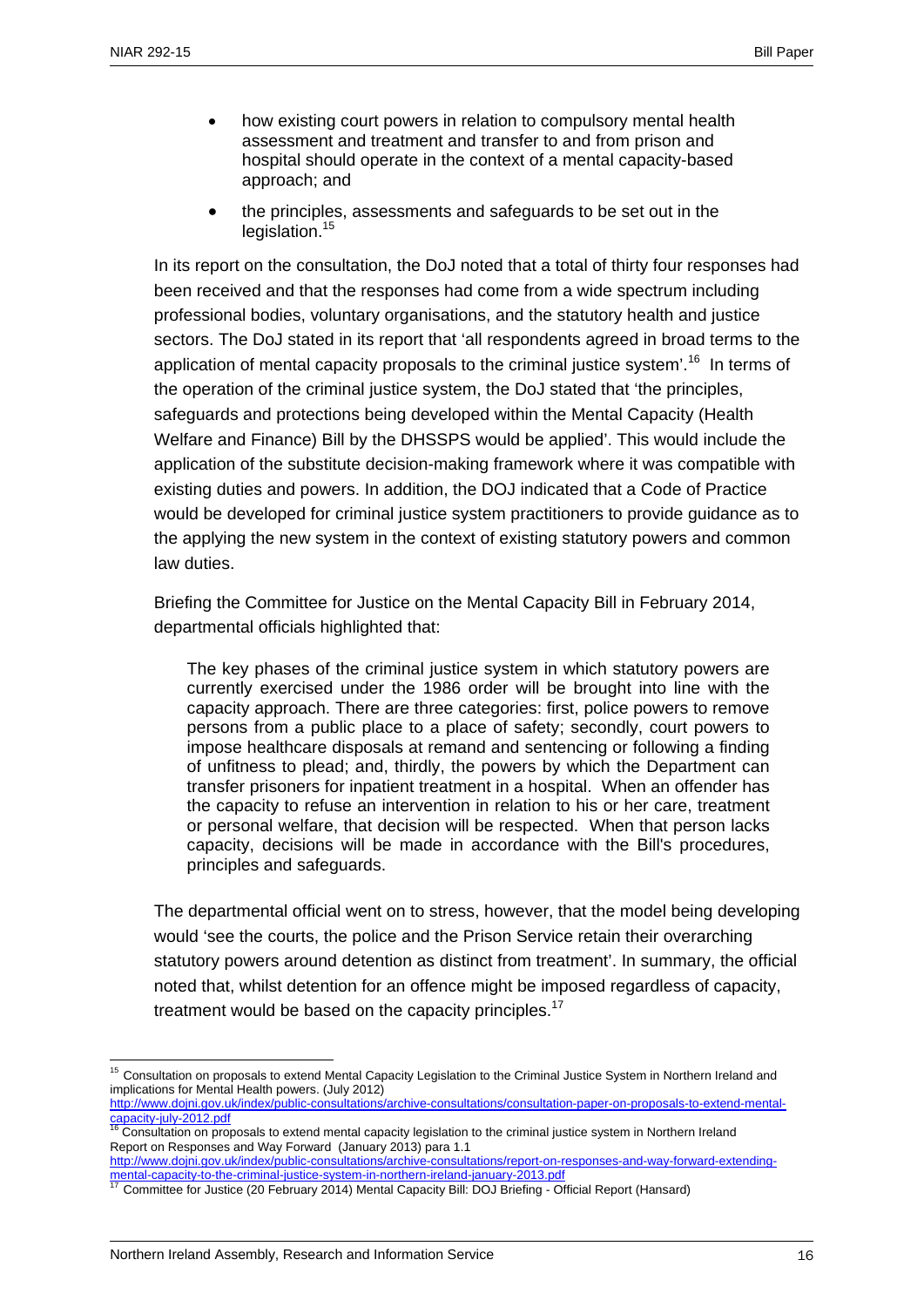- how existing court powers in relation to compulsory mental health assessment and treatment and transfer to and from prison and hospital should operate in the context of a mental capacity-based approach; and
- the principles, assessments and safeguards to be set out in the legislation.<sup>15</sup>

In its report on the consultation, the DoJ noted that a total of thirty four responses had been received and that the responses had come from a wide spectrum including professional bodies, voluntary organisations, and the statutory health and justice sectors. The DoJ stated in its report that 'all respondents agreed in broad terms to the application of mental capacity proposals to the criminal justice system'.<sup>16</sup> In terms of the operation of the criminal justice system, the DoJ stated that 'the principles, safeguards and protections being developed within the Mental Capacity (Health Welfare and Finance) Bill by the DHSSPS would be applied'. This would include the application of the substitute decision-making framework where it was compatible with existing duties and powers. In addition, the DOJ indicated that a Code of Practice would be developed for criminal justice system practitioners to provide guidance as to the applying the new system in the context of existing statutory powers and common law duties.

Briefing the Committee for Justice on the Mental Capacity Bill in February 2014, departmental officials highlighted that:

The key phases of the criminal justice system in which statutory powers are currently exercised under the 1986 order will be brought into line with the capacity approach. There are three categories: first, police powers to remove persons from a public place to a place of safety; secondly, court powers to impose healthcare disposals at remand and sentencing or following a finding of unfitness to plead; and, thirdly, the powers by which the Department can transfer prisoners for inpatient treatment in a hospital. When an offender has the capacity to refuse an intervention in relation to his or her care, treatment or personal welfare, that decision will be respected. When that person lacks capacity, decisions will be made in accordance with the Bill's procedures, principles and safeguards.

The departmental official went on to stress, however, that the model being developing would 'see the courts, the police and the Prison Service retain their overarching statutory powers around detention as distinct from treatment'. In summary, the official noted that, whilst detention for an offence might be imposed regardless of capacity, treatment would be based on the capacity principles.<sup>17</sup>

<sup>&</sup>lt;sup>15</sup> Consultation on proposals to extend Mental Capacity Legislation to the Criminal Justice System in Northern Ireland and implications for Mental Health powers. (July 2012)

http://www.dojni.gov.uk/index/public-consultations/archive-consultations/consultation-paper-on-proposals-to-extend-mentalcapacity-july-2012.pdf<br><sup>16</sup> Consultation on proposals to extend mental capacity legislation to the criminal justice system in Northern Ireland

Report on Responses and Way Forward (January 2013) para 1.1

http://www.dojni.gov.uk/index/public-consultations/archive-consultations/report-on-responses-and-way-forward-extendingmental-capacity-to-the-criminal-justice-system-in-northern-ireland-january-2013.pdf<br><sup>17</sup> Committee for Justice (20 February 2014) Mental Capacity Bill: DOJ Briefing - Official Report (Hansard)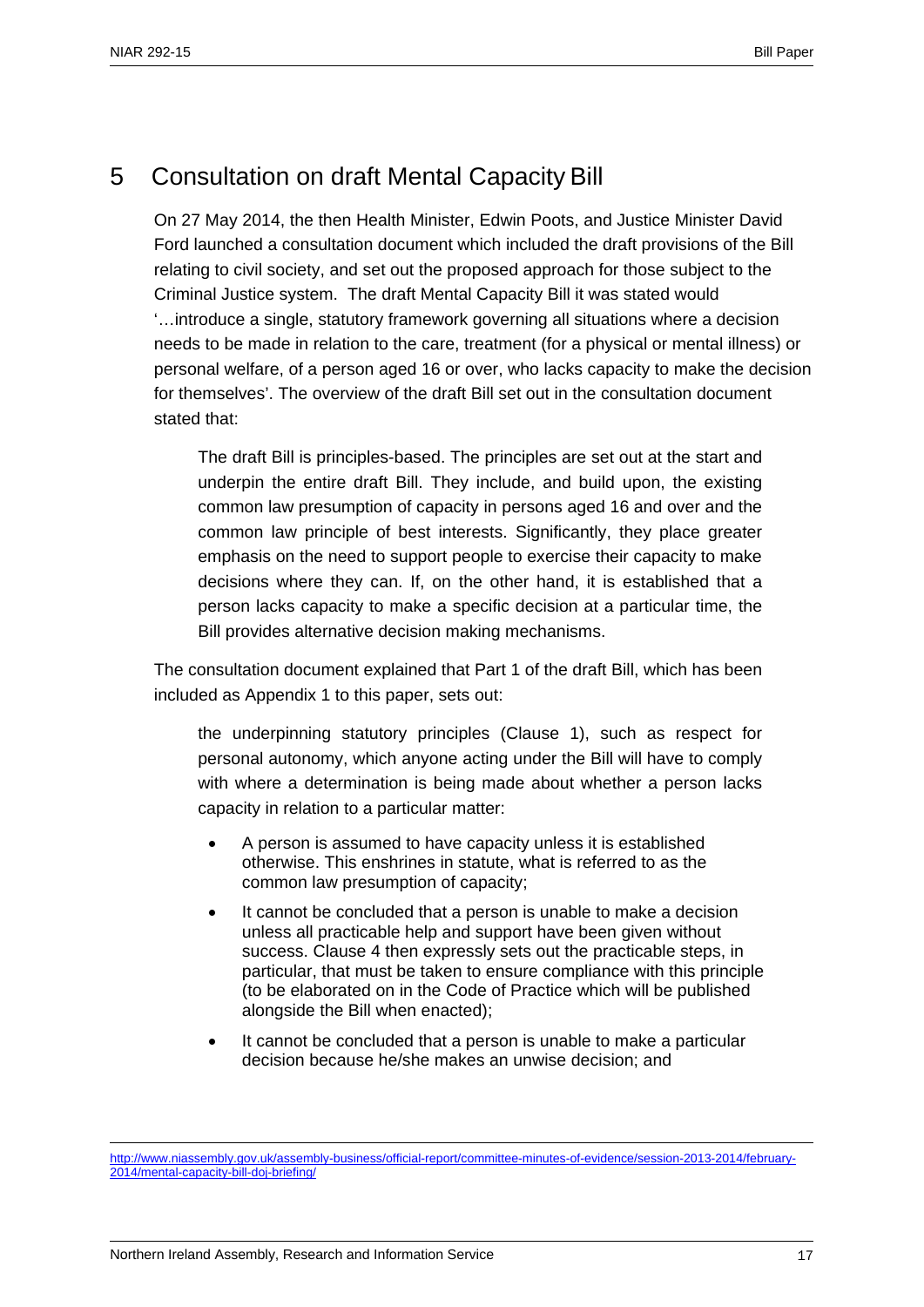# 5 Consultation on draft Mental Capacity Bill

On 27 May 2014, the then Health Minister, Edwin Poots, and Justice Minister David Ford launched a consultation document which included the draft provisions of the Bill relating to civil society, and set out the proposed approach for those subject to the Criminal Justice system. The draft Mental Capacity Bill it was stated would '…introduce a single, statutory framework governing all situations where a decision needs to be made in relation to the care, treatment (for a physical or mental illness) or personal welfare, of a person aged 16 or over, who lacks capacity to make the decision for themselves'. The overview of the draft Bill set out in the consultation document stated that:

The draft Bill is principles-based. The principles are set out at the start and underpin the entire draft Bill. They include, and build upon, the existing common law presumption of capacity in persons aged 16 and over and the common law principle of best interests. Significantly, they place greater emphasis on the need to support people to exercise their capacity to make decisions where they can. If, on the other hand, it is established that a person lacks capacity to make a specific decision at a particular time, the Bill provides alternative decision making mechanisms.

The consultation document explained that Part 1 of the draft Bill, which has been included as Appendix 1 to this paper, sets out:

the underpinning statutory principles (Clause 1), such as respect for personal autonomy, which anyone acting under the Bill will have to comply with where a determination is being made about whether a person lacks capacity in relation to a particular matter:

- A person is assumed to have capacity unless it is established otherwise. This enshrines in statute, what is referred to as the common law presumption of capacity;
- It cannot be concluded that a person is unable to make a decision unless all practicable help and support have been given without success. Clause 4 then expressly sets out the practicable steps, in particular, that must be taken to ensure compliance with this principle (to be elaborated on in the Code of Practice which will be published alongside the Bill when enacted);
- It cannot be concluded that a person is unable to make a particular decision because he/she makes an unwise decision; and

<u>.</u>

http://www.niassembly.gov.uk/assembly-business/official-report/committee-minutes-of-evidence/session-2013-2014/february-2014/mental-capacity-bill-doj-briefing/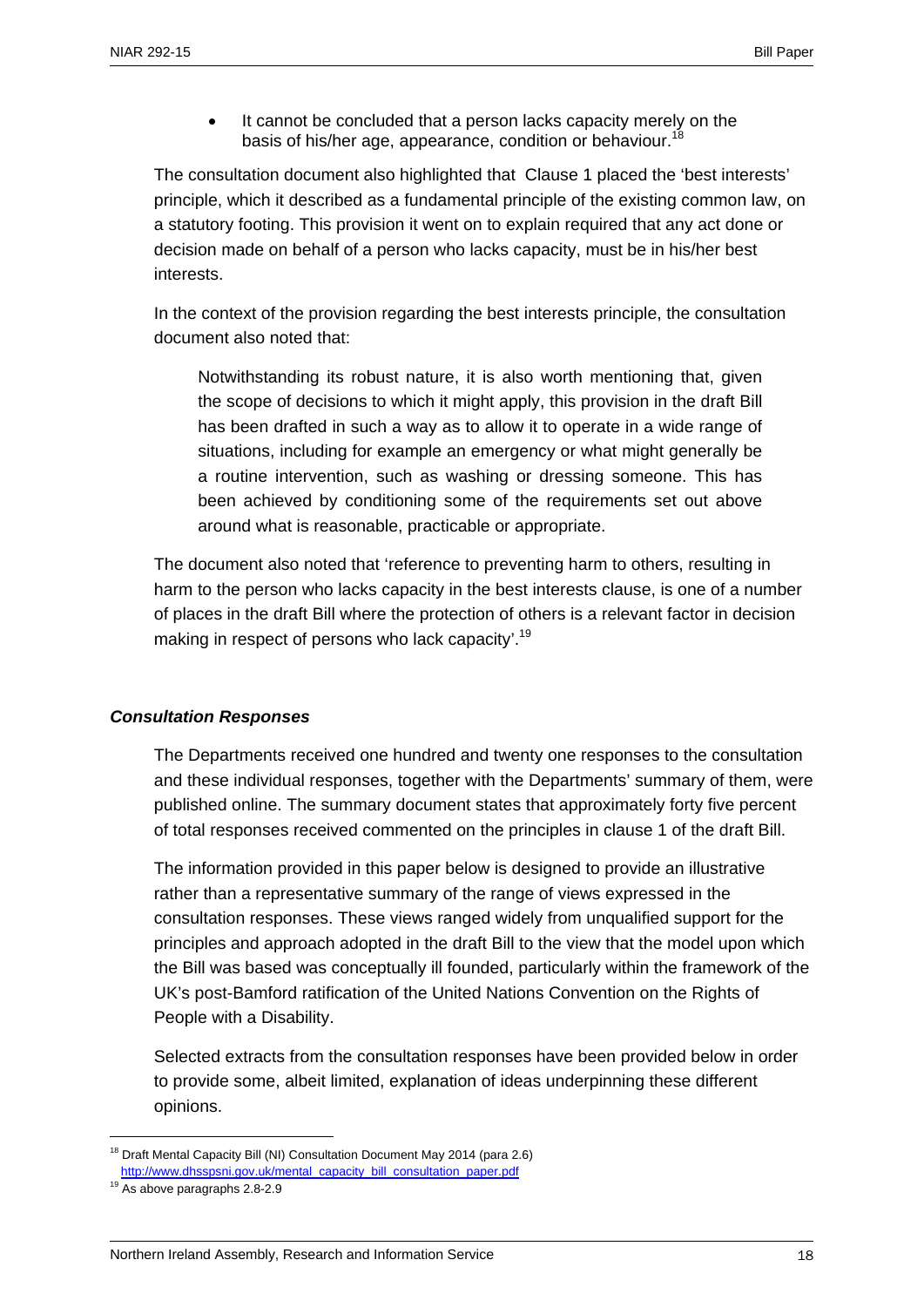It cannot be concluded that a person lacks capacity merely on the basis of his/her age, appearance, condition or behaviour.

The consultation document also highlighted that Clause 1 placed the 'best interests' principle, which it described as a fundamental principle of the existing common law, on a statutory footing. This provision it went on to explain required that any act done or decision made on behalf of a person who lacks capacity, must be in his/her best interests.

In the context of the provision regarding the best interests principle, the consultation document also noted that:

Notwithstanding its robust nature, it is also worth mentioning that, given the scope of decisions to which it might apply, this provision in the draft Bill has been drafted in such a way as to allow it to operate in a wide range of situations, including for example an emergency or what might generally be a routine intervention, such as washing or dressing someone. This has been achieved by conditioning some of the requirements set out above around what is reasonable, practicable or appropriate.

The document also noted that 'reference to preventing harm to others, resulting in harm to the person who lacks capacity in the best interests clause, is one of a number of places in the draft Bill where the protection of others is a relevant factor in decision making in respect of persons who lack capacity'.<sup>19</sup>

## *Consultation Responses*

The Departments received one hundred and twenty one responses to the consultation and these individual responses, together with the Departments' summary of them, were published online. The summary document states that approximately forty five percent of total responses received commented on the principles in clause 1 of the draft Bill.

The information provided in this paper below is designed to provide an illustrative rather than a representative summary of the range of views expressed in the consultation responses. These views ranged widely from unqualified support for the principles and approach adopted in the draft Bill to the view that the model upon which the Bill was based was conceptually ill founded, particularly within the framework of the UK's post-Bamford ratification of the United Nations Convention on the Rights of People with a Disability.

Selected extracts from the consultation responses have been provided below in order to provide some, albeit limited, explanation of ideas underpinning these different opinions.

<sup>&</sup>lt;sup>18</sup> Draft Mental Capacity Bill (NI) Consultation Document May 2014 (para 2.6)

http://www.dhsspsni.gov.uk/mental\_capacity\_bill\_consultation\_paper.pdf<br><sup>19</sup> As above paragraphs 2.8-2.9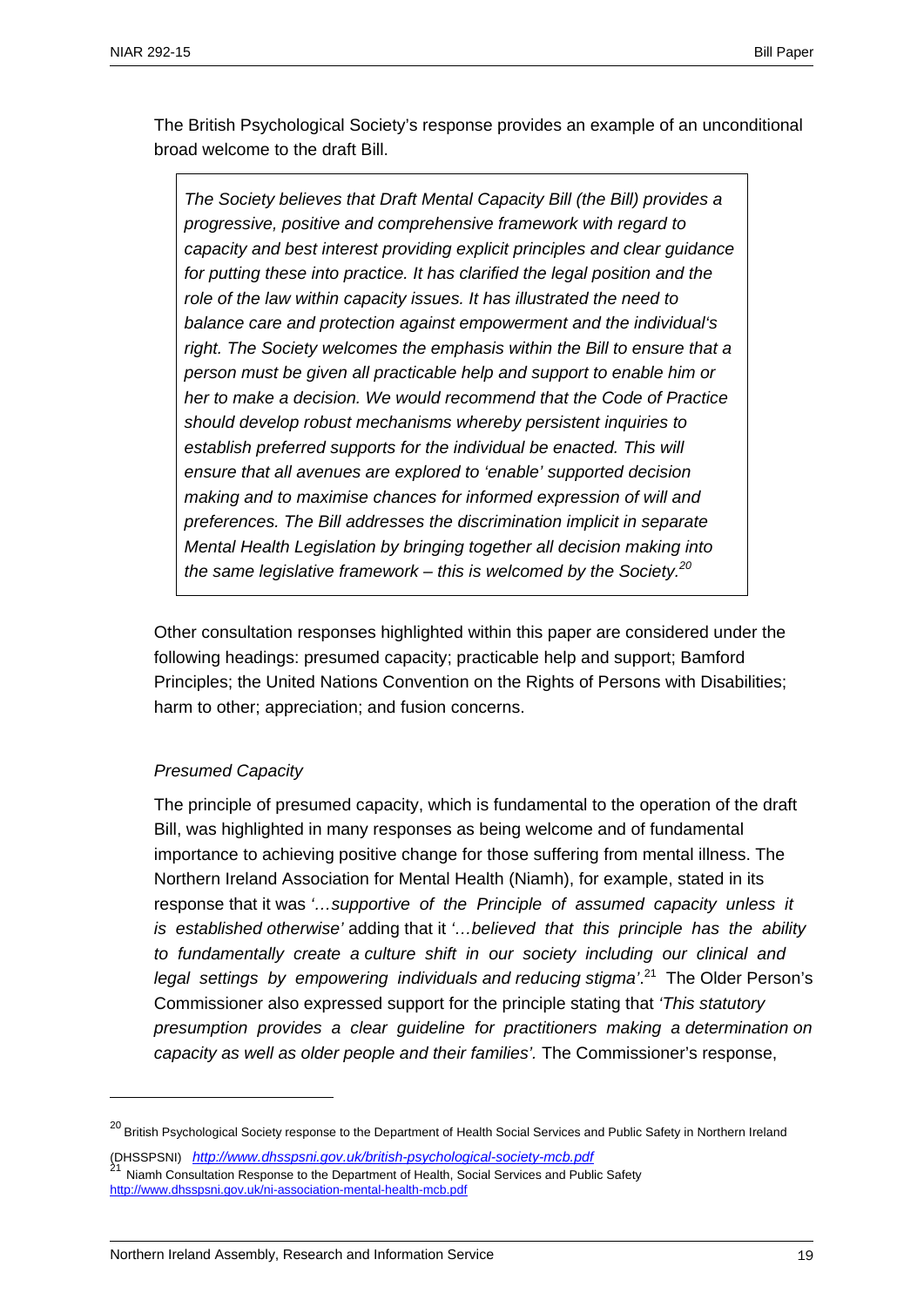The British Psychological Society's response provides an example of an unconditional broad welcome to the draft Bill.

*The Society believes that Draft Mental Capacity Bill (the Bill) provides a progressive, positive and comprehensive framework with regard to capacity and best interest providing explicit principles and clear guidance for putting these into practice. It has clarified the legal position and the role of the law within capacity issues. It has illustrated the need to balance care and protection against empowerment and the individual's*  right. The Society welcomes the emphasis within the Bill to ensure that a *person must be given all practicable help and support to enable him or her to make a decision. We would recommend that the Code of Practice should develop robust mechanisms whereby persistent inquiries to establish preferred supports for the individual be enacted. This will ensure that all avenues are explored to 'enable' supported decision making and to maximise chances for informed expression of will and preferences. The Bill addresses the discrimination implicit in separate Mental Health Legislation by bringing together all decision making into the same legislative framework – this is welcomed by the Society.20*

Other consultation responses highlighted within this paper are considered under the following headings: presumed capacity; practicable help and support; Bamford Principles; the United Nations Convention on the Rights of Persons with Disabilities; harm to other; appreciation; and fusion concerns.

## *Presumed Capacity*

1

The principle of presumed capacity, which is fundamental to the operation of the draft Bill, was highlighted in many responses as being welcome and of fundamental importance to achieving positive change for those suffering from mental illness. The Northern Ireland Association for Mental Health (Niamh), for example, stated in its response that it was *'…supportive of the Principle of assumed capacity unless it is established otherwise'* adding that it *'…believed that this principle has the ability to fundamentally create a culture shift in our society including our clinical and legal settings by empowering individuals and reducing stigma'*. 21 The Older Person's Commissioner also expressed support for the principle stating that *'This statutory presumption provides a clear guideline for practitioners making a determination on capacity as well as older people and their families'.* The Commissioner's response,

<sup>&</sup>lt;sup>20</sup> British Psychological Society response to the Department of Health Social Services and Public Safety in Northern Ireland

<sup>(</sup>DHSSPSNI) *http://www.dhsspsni.gov.uk/british-psychological-society-mcb.pdf*<br><sup>21</sup> Niamh Consultation Response to the Department of Health, Social Services and Public Safety http://www.dhsspsni.gov.uk/ni-association-mental-health-mcb.pdf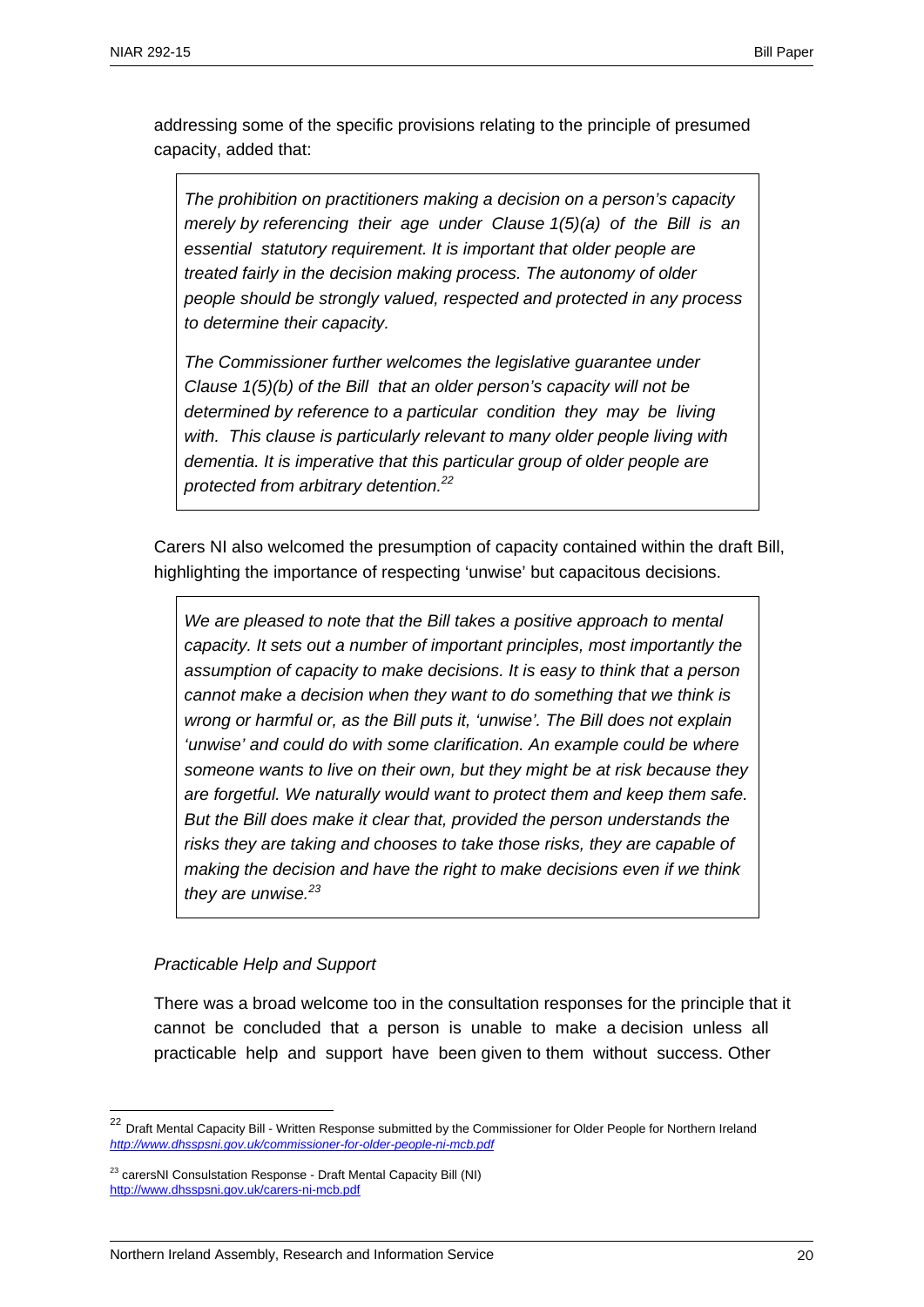addressing some of the specific provisions relating to the principle of presumed capacity, added that:

*The prohibition on practitioners making a decision on a person's capacity merely by referencing their age under Clause 1(5)(a) of the Bill is an essential statutory requirement. It is important that older people are treated fairly in the decision making process. The autonomy of older people should be strongly valued, respected and protected in any process to determine their capacity.* 

*The Commissioner further welcomes the legislative guarantee under Clause 1(5)(b) of the Bill that an older person's capacity will not be determined by reference to a particular condition they may be living with. This clause is particularly relevant to many older people living with*  dementia. It is imperative that this particular group of older people are *protected from arbitrary detention.22*

Carers NI also welcomed the presumption of capacity contained within the draft Bill, highlighting the importance of respecting 'unwise' but capacitous decisions.

*We are pleased to note that the Bill takes a positive approach to mental capacity. It sets out a number of important principles, most importantly the assumption of capacity to make decisions. It is easy to think that a person cannot make a decision when they want to do something that we think is wrong or harmful or, as the Bill puts it, 'unwise'. The Bill does not explain 'unwise' and could do with some clarification. An example could be where someone wants to live on their own, but they might be at risk because they are forgetful. We naturally would want to protect them and keep them safe. But the Bill does make it clear that, provided the person understands the risks they are taking and chooses to take those risks, they are capable of making the decision and have the right to make decisions even if we think they are unwise.<sup>23</sup>*

#### *Practicable Help and Support*

1

There was a broad welcome too in the consultation responses for the principle that it cannot be concluded that a person is unable to make a decision unless all practicable help and support have been given to them without success. Other

<sup>22</sup> Draft Mental Capacity Bill - Written Response submitted by the Commissioner for Older People for Northern Ireland *http://www.dhsspsni.gov.uk/commissioner-for-older-people-ni-mcb.pdf*

<sup>&</sup>lt;sup>23</sup> carersNI Consulstation Response - Draft Mental Capacity Bill (NI) http://www.dhsspsni.gov.uk/carers-ni-mcb.pdf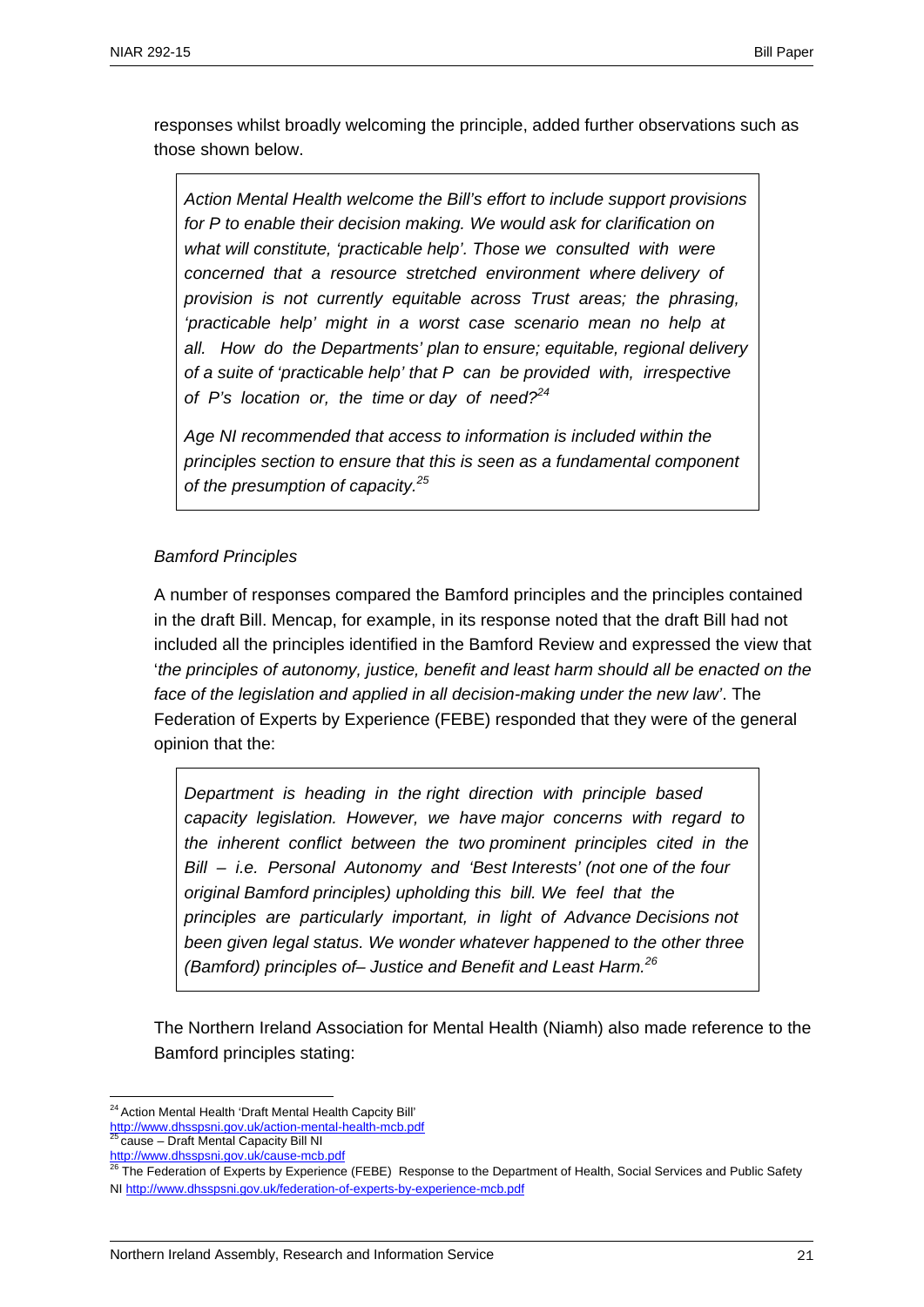responses whilst broadly welcoming the principle, added further observations such as those shown below.

*Action Mental Health welcome the Bill's effort to include support provisions for P to enable their decision making. We would ask for clarification on what will constitute, 'practicable help'. Those we consulted with were concerned that a resource stretched environment where delivery of provision is not currently equitable across Trust areas; the phrasing, 'practicable help' might in a worst case scenario mean no help at all. How do the Departments' plan to ensure; equitable, regional delivery of a suite of 'practicable help' that P can be provided with, irrespective of P's location or, the time or day of need?<sup>24</sup>*

*Age NI recommended that access to information is included within the principles section to ensure that this is seen as a fundamental component of the presumption of capacity.25*

### *Bamford Principles*

A number of responses compared the Bamford principles and the principles contained in the draft Bill. Mencap, for example, in its response noted that the draft Bill had not included all the principles identified in the Bamford Review and expressed the view that '*the principles of autonomy, justice, benefit and least harm should all be enacted on the face of the legislation and applied in all decision-making under the new law'*. The Federation of Experts by Experience (FEBE) responded that they were of the general opinion that the:

*Department is heading in the right direction with principle based capacity legislation. However, we have major concerns with regard to the inherent conflict between the two prominent principles cited in the Bill – i.e. Personal Autonomy and 'Best Interests' (not one of the four original Bamford principles) upholding this bill. We feel that the principles are particularly important, in light of Advance Decisions not been given legal status. We wonder whatever happened to the other three (Bamford) principles of– Justice and Benefit and Least Harm.<sup>26</sup>*

The Northern Ireland Association for Mental Health (Niamh) also made reference to the Bamford principles stating:

http://www.dhsspsni.gov.uk/cause-mcb.pdf

<sup>1</sup> <sup>24</sup> Action Mental Health 'Draft Mental Health Capcity Bill'

http://www.dhsspsni.gov.uk/action-mental-health-mcb.pdf <sup>2</sup> cause – Draft Mental Capacity Bill NI

<sup>&</sup>lt;sup>26</sup> The Federation of Experts by Experience (FEBE) Response to the Department of Health, Social Services and Public Safety NI http://www.dhsspsni.gov.uk/federation-of-experts-by-experience-mcb.pdf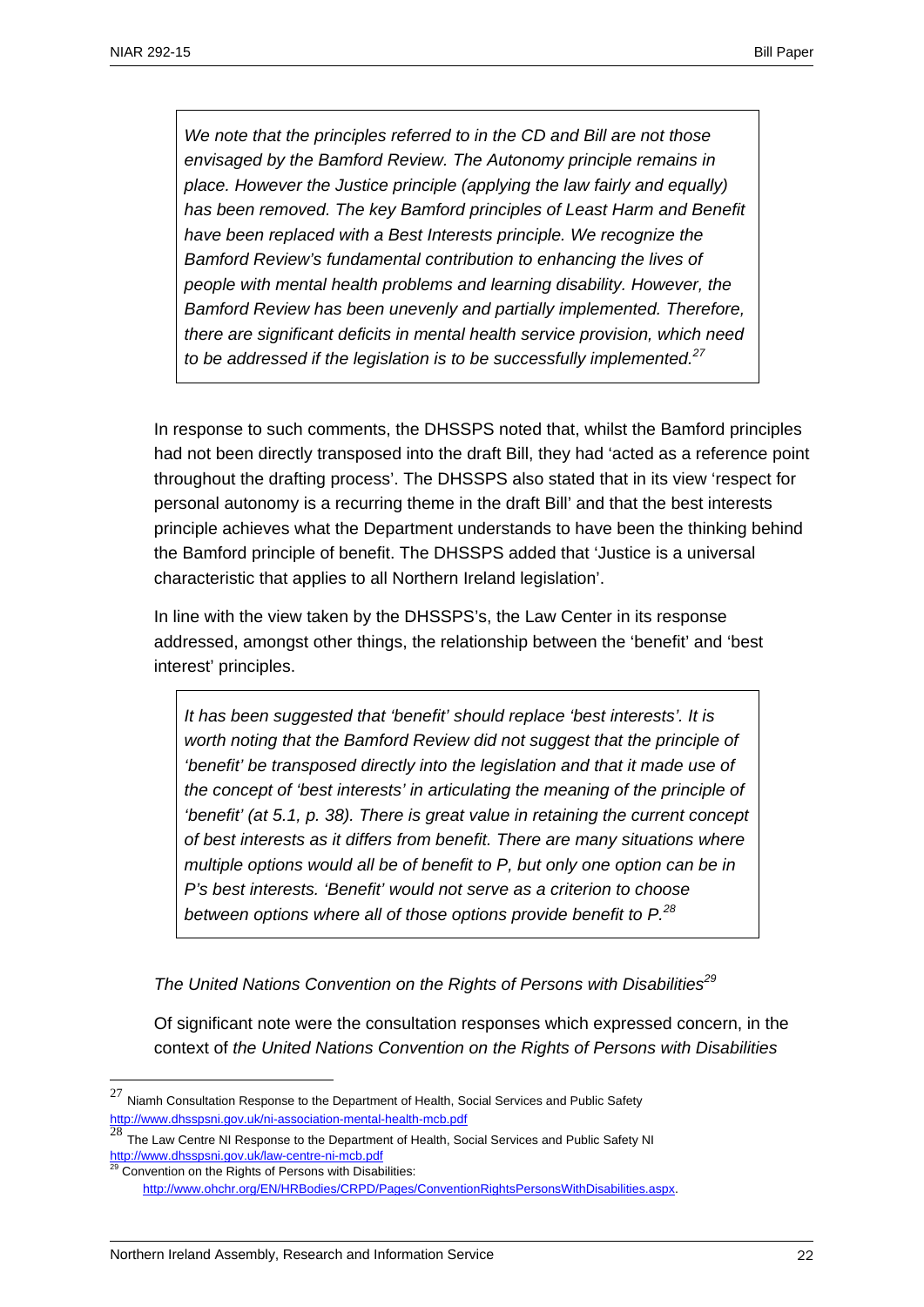*We note that the principles referred to in the CD and Bill are not those envisaged by the Bamford Review. The Autonomy principle remains in place. However the Justice principle (applying the law fairly and equally) has been removed. The key Bamford principles of Least Harm and Benefit have been replaced with a Best Interests principle. We recognize the Bamford Review's fundamental contribution to enhancing the lives of people with mental health problems and learning disability. However, the Bamford Review has been unevenly and partially implemented. Therefore, there are significant deficits in mental health service provision, which need to be addressed if the legislation is to be successfully implemented.<sup>27</sup>*

In response to such comments, the DHSSPS noted that, whilst the Bamford principles had not been directly transposed into the draft Bill, they had 'acted as a reference point throughout the drafting process'. The DHSSPS also stated that in its view 'respect for personal autonomy is a recurring theme in the draft Bill' and that the best interests principle achieves what the Department understands to have been the thinking behind the Bamford principle of benefit. The DHSSPS added that 'Justice is a universal characteristic that applies to all Northern Ireland legislation'.

In line with the view taken by the DHSSPS's, the Law Center in its response addressed, amongst other things, the relationship between the 'benefit' and 'best interest' principles.

*It has been suggested that 'benefit' should replace 'best interests'. It is worth noting that the Bamford Review did not suggest that the principle of 'benefit' be transposed directly into the legislation and that it made use of the concept of 'best interests' in articulating the meaning of the principle of 'benefit' (at 5.1, p. 38). There is great value in retaining the current concept of best interests as it differs from benefit. There are many situations where multiple options would all be of benefit to P, but only one option can be in P's best interests. 'Benefit' would not serve as a criterion to choose between options where all of those options provide benefit to P.<sup>28</sup>*

*The United Nations Convention on the Rights of Persons with Disabilities<sup>29</sup>*

Of significant note were the consultation responses which expressed concern, in the context of *the United Nations Convention on the Rights of Persons with Disabilities* 

 $^{27}$  Niamh Consultation Response to the Department of Health, Social Services and Public Safety http://www.dhsspsni.gov.uk/ni-association-mental-health-mcb.pdf

<sup>28</sup> The Law Centre NI Response to the Department of Health, Social Services and Public Safety NI http://www.dhsspsni.gov.uk/law-centre-ni-mcb.pdf

Convention on the Rights of Persons with Disabilities:

http://www.ohchr.org/EN/HRBodies/CRPD/Pages/ConventionRightsPersonsWithDisabilities.aspx.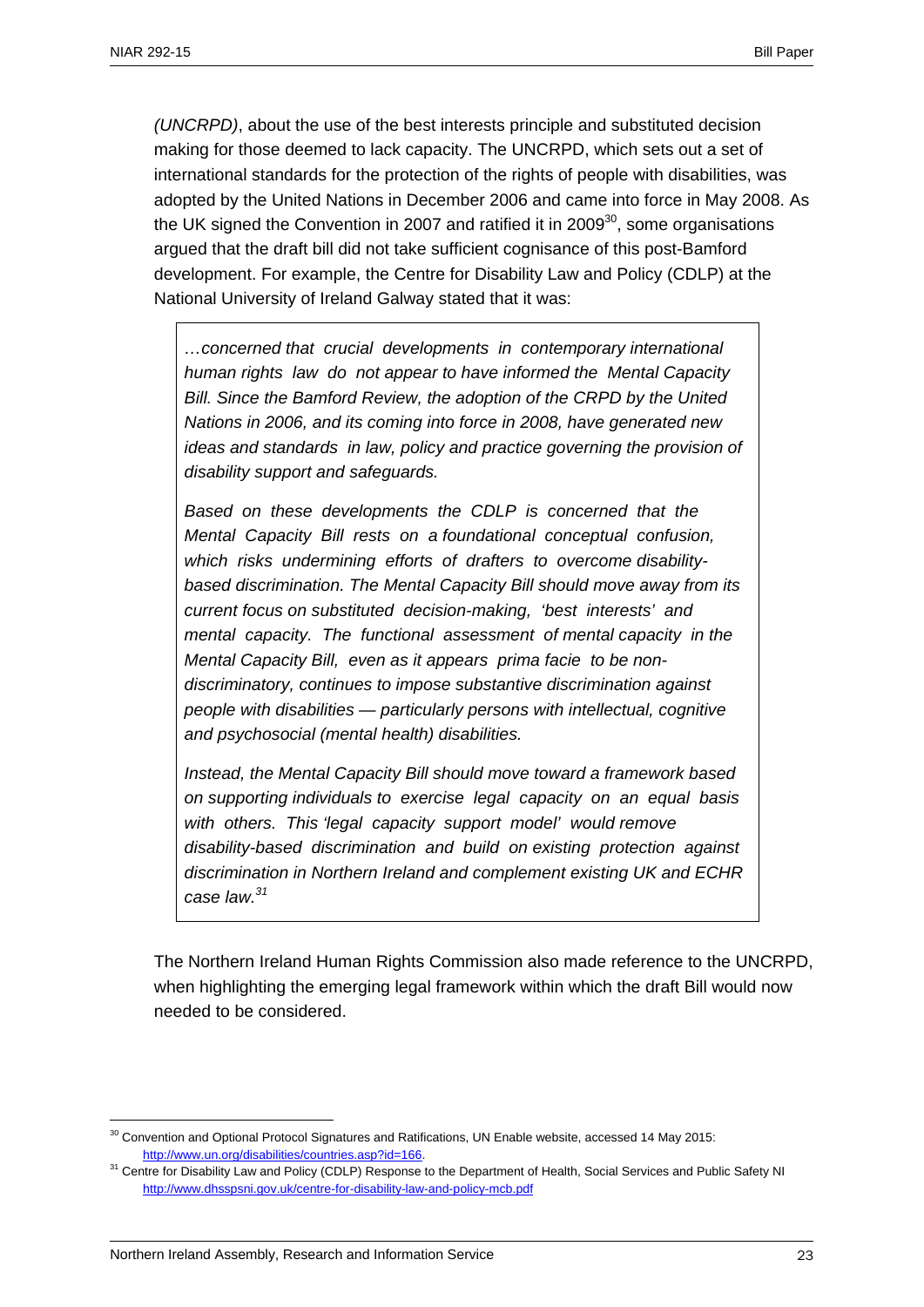*(UNCRPD)*, about the use of the best interests principle and substituted decision making for those deemed to lack capacity. The UNCRPD, which sets out a set of international standards for the protection of the rights of people with disabilities, was adopted by the United Nations in December 2006 and came into force in May 2008. As the UK signed the Convention in 2007 and ratified it in 2009 $30$ , some organisations argued that the draft bill did not take sufficient cognisance of this post-Bamford development. For example, the Centre for Disability Law and Policy (CDLP) at the National University of Ireland Galway stated that it was:

*…concerned that crucial developments in contemporary international human rights law do not appear to have informed the Mental Capacity Bill. Since the Bamford Review, the adoption of the CRPD by the United Nations in 2006, and its coming into force in 2008, have generated new ideas and standards in law, policy and practice governing the provision of disability support and safeguards.* 

*Based on these developments the CDLP is concerned that the Mental Capacity Bill rests on a foundational conceptual confusion, which risks undermining efforts of drafters to overcome disabilitybased discrimination. The Mental Capacity Bill should move away from its current focus on substituted decision-making, 'best interests' and mental capacity. The functional assessment of mental capacity in the Mental Capacity Bill, even as it appears prima facie to be nondiscriminatory, continues to impose substantive discrimination against people with disabilities — particularly persons with intellectual, cognitive and psychosocial (mental health) disabilities.* 

*Instead, the Mental Capacity Bill should move toward a framework based on supporting individuals to exercise legal capacity on an equal basis with others. This 'legal capacity support model' would remove disability-based discrimination and build on existing protection against discrimination in Northern Ireland and complement existing UK and ECHR case law.31*

The Northern Ireland Human Rights Commission also made reference to the UNCRPD, when highlighting the emerging legal framework within which the draft Bill would now needed to be considered.

<u>.</u>

 $30$  Convention and Optional Protocol Signatures and Ratifications, UN Enable website, accessed 14 May 2015:

http://www.un.org/disabilities/countries.asp?id=166.<br><sup>31</sup> Centre for Disability Law and Policy (CDLP) Response to the Department of Health, Social Services and Public Safety NI http://www.dhsspsni.gov.uk/centre-for-disability-law-and-policy-mcb.pdf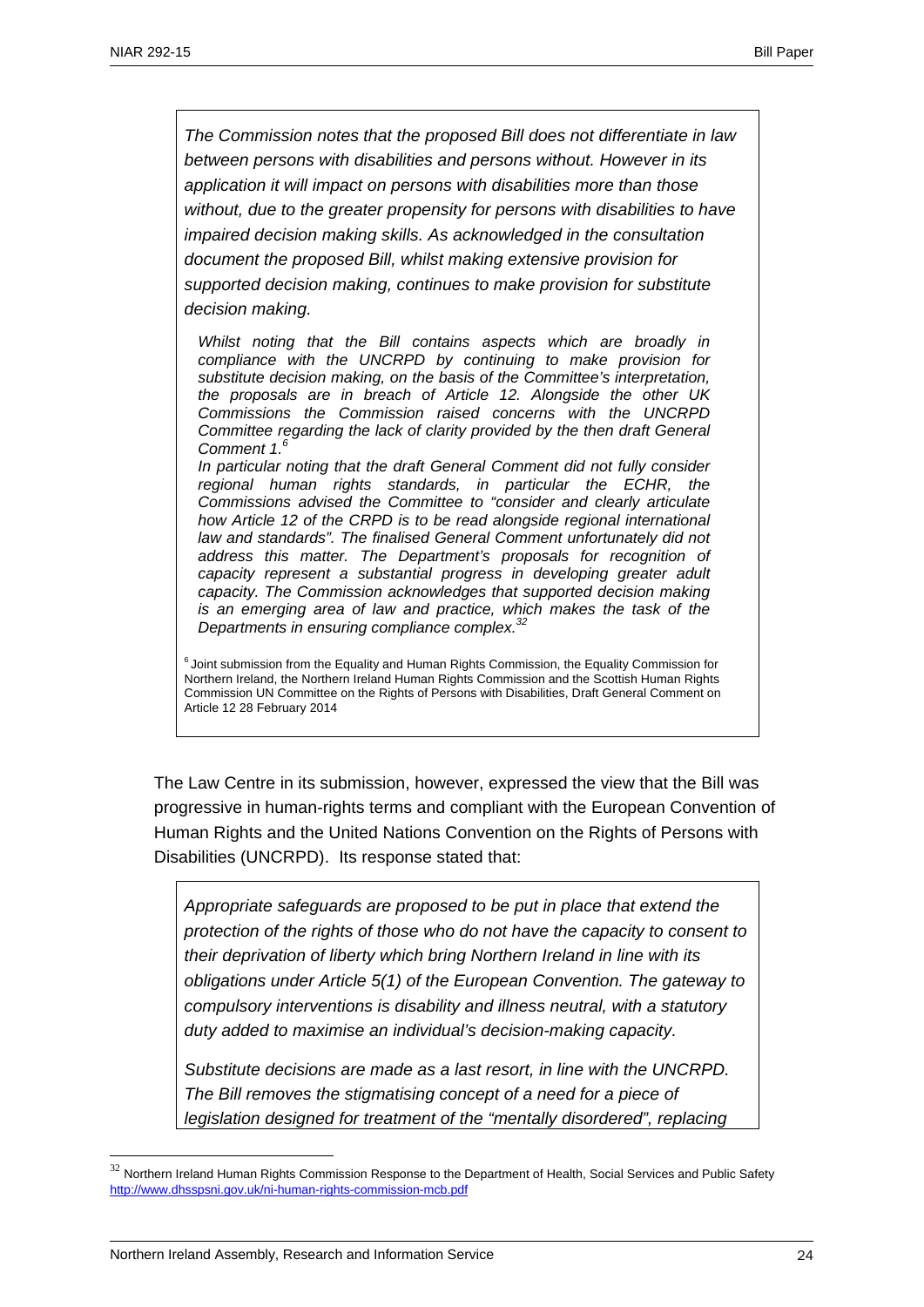*The Commission notes that the proposed Bill does not differentiate in law between persons with disabilities and persons without. However in its application it will impact on persons with disabilities more than those without, due to the greater propensity for persons with disabilities to have impaired decision making skills. As acknowledged in the consultation document the proposed Bill, whilst making extensive provision for supported decision making, continues to make provision for substitute decision making.* 

*Whilst noting that the Bill contains aspects which are broadly in compliance with the UNCRPD by continuing to make provision for substitute decision making, on the basis of the Committee's interpretation, the proposals are in breach of Article 12. Alongside the other UK Commissions the Commission raised concerns with the UNCRPD Committee regarding the lack of clarity provided by the then draft General Comment 1.<sup>6</sup>*

*In particular noting that the draft General Comment did not fully consider regional human rights standards, in particular the ECHR, the Commissions advised the Committee to "consider and clearly articulate how Article 12 of the CRPD is to be read alongside regional international law and standards". The finalised General Comment unfortunately did not address this matter. The Department's proposals for recognition of capacity represent a substantial progress in developing greater adult capacity. The Commission acknowledges that supported decision making is an emerging area of law and practice, which makes the task of the Departments in ensuring compliance complex.32*

 $6$  Joint submission from the Equality and Human Rights Commission, the Equality Commission for Northern Ireland, the Northern Ireland Human Rights Commission and the Scottish Human Rights Commission UN Committee on the Rights of Persons with Disabilities, Draft General Comment on Article 12 28 February 2014

The Law Centre in its submission, however, expressed the view that the Bill was progressive in human-rights terms and compliant with the European Convention of Human Rights and the United Nations Convention on the Rights of Persons with Disabilities (UNCRPD). Its response stated that:

*Appropriate safeguards are proposed to be put in place that extend the protection of the rights of those who do not have the capacity to consent to their deprivation of liberty which bring Northern Ireland in line with its obligations under Article 5(1) of the European Convention. The gateway to compulsory interventions is disability and illness neutral, with a statutory duty added to maximise an individual's decision-making capacity.* 

*Substitute decisions are made as a last resort, in line with the UNCRPD. The Bill removes the stigmatising concept of a need for a piece of legislation designed for treatment of the "mentally disordered", replacing* 

 $32$  Northern Ireland Human Rights Commission Response to the Department of Health, Social Services and Public Safety http://www.dhsspsni.gov.uk/ni-human-rights-commission-mcb.pdf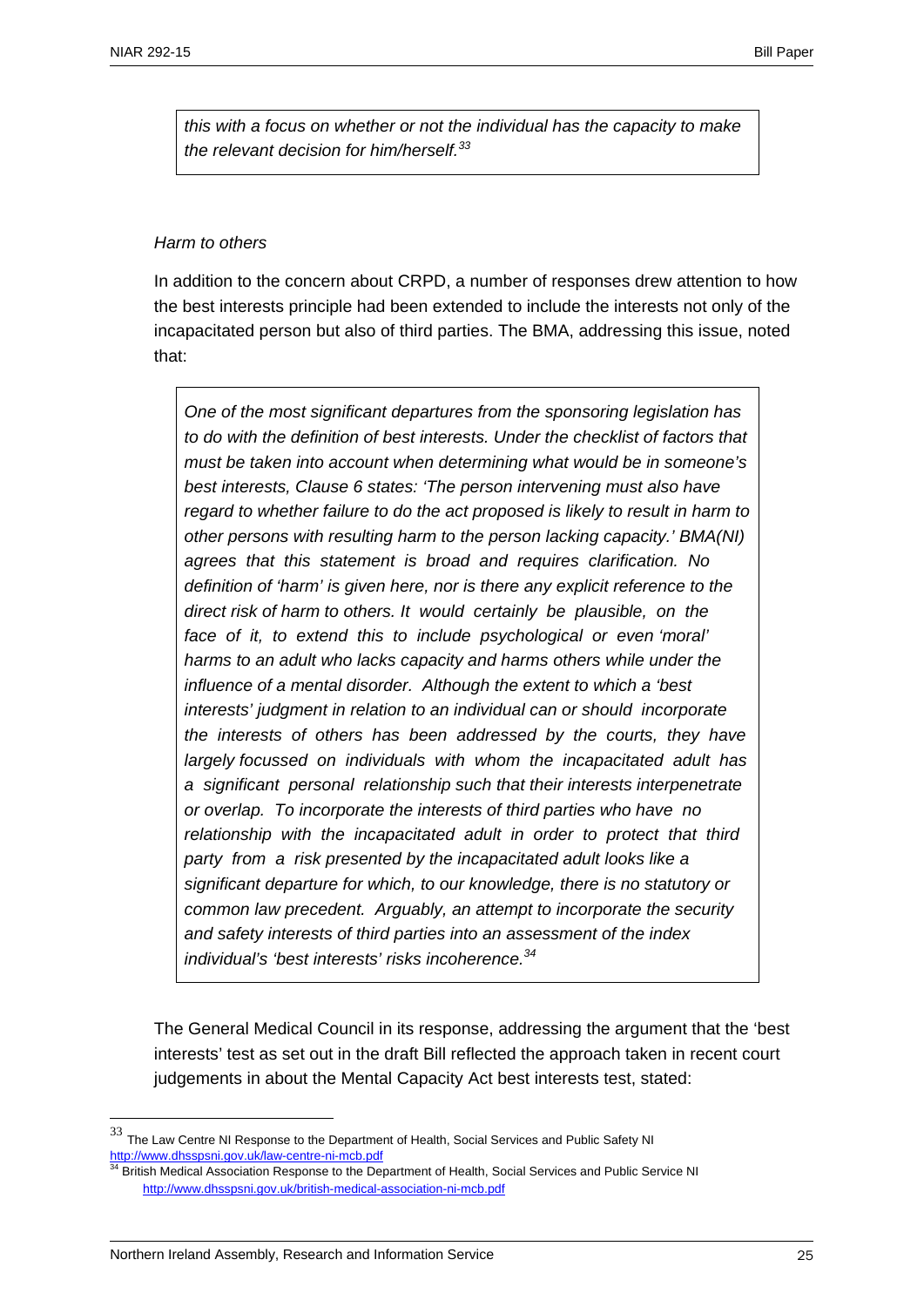*this with a focus on whether or not the individual has the capacity to make the relevant decision for him/herself.<sup>33</sup>*

### *Harm to others*

In addition to the concern about CRPD, a number of responses drew attention to how the best interests principle had been extended to include the interests not only of the incapacitated person but also of third parties. The BMA, addressing this issue, noted that:

*One of the most significant departures from the sponsoring legislation has to do with the definition of best interests. Under the checklist of factors that must be taken into account when determining what would be in someone's best interests, Clause 6 states: 'The person intervening must also have regard to whether failure to do the act proposed is likely to result in harm to other persons with resulting harm to the person lacking capacity.' BMA(NI) agrees that this statement is broad and requires clarification. No definition of 'harm' is given here, nor is there any explicit reference to the direct risk of harm to others. It would certainly be plausible, on the face of it, to extend this to include psychological or even 'moral' harms to an adult who lacks capacity and harms others while under the influence of a mental disorder. Although the extent to which a 'best interests' judgment in relation to an individual can or should incorporate the interests of others has been addressed by the courts, they have largely focussed on individuals with whom the incapacitated adult has a significant personal relationship such that their interests interpenetrate or overlap. To incorporate the interests of third parties who have no*  relationship with the incapacitated adult in order to protect that third *party from a risk presented by the incapacitated adult looks like a significant departure for which, to our knowledge, there is no statutory or common law precedent. Arguably, an attempt to incorporate the security and safety interests of third parties into an assessment of the index individual's 'best interests' risks incoherence.34* 

The General Medical Council in its response, addressing the argument that the 'best interests' test as set out in the draft Bill reflected the approach taken in recent court judgements in about the Mental Capacity Act best interests test, stated:

 $33$  The Law Centre NI Response to the Department of Health, Social Services and Public Safety NI http://www.dhsspsni.gov.uk/law-centre-ni-mcb.pdf

British Medical Association Response to the Department of Health, Social Services and Public Service NI http://www.dhsspsni.gov.uk/british-medical-association-ni-mcb.pdf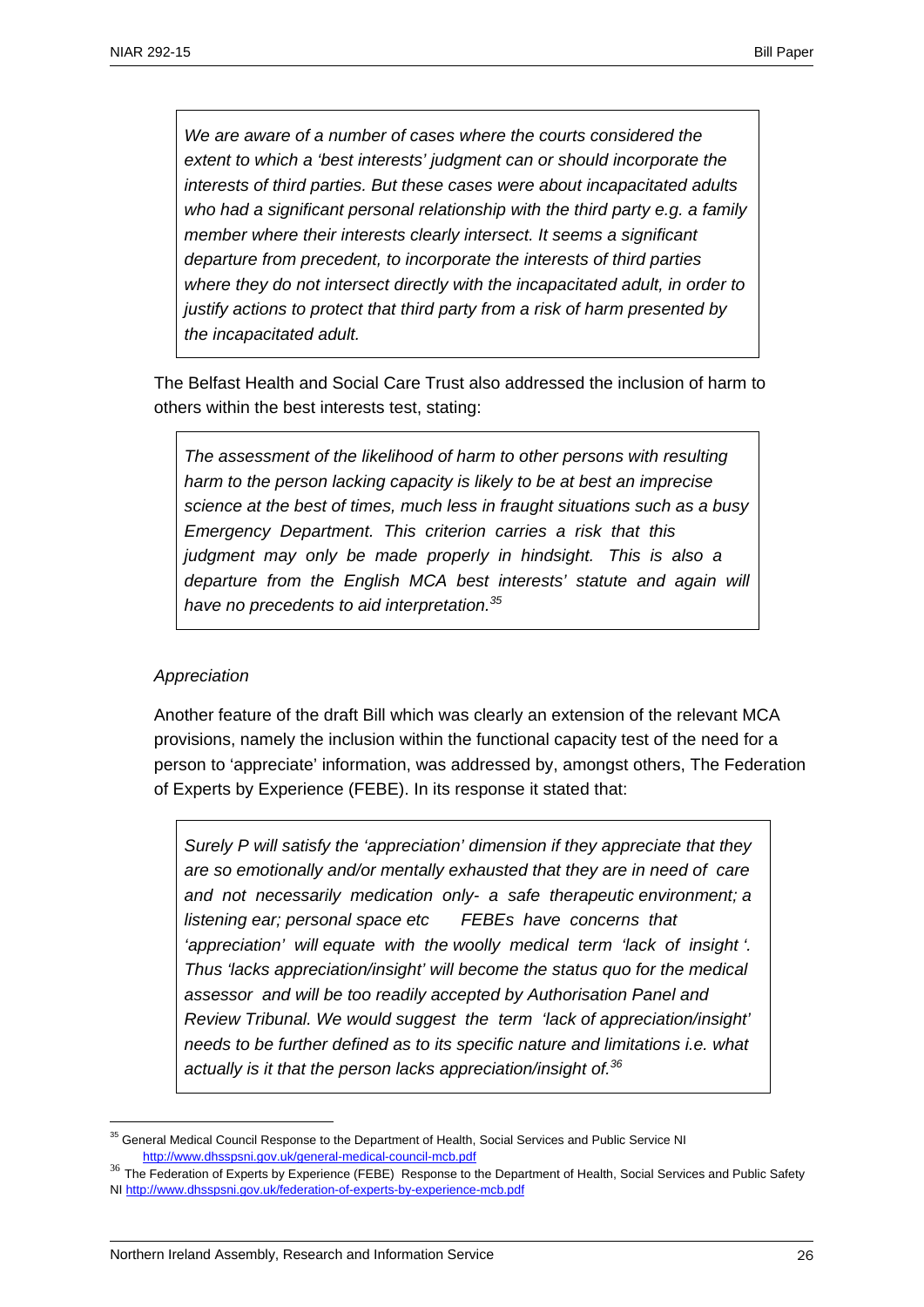*We are aware of a number of cases where the courts considered the extent to which a 'best interests' judgment can or should incorporate the interests of third parties. But these cases were about incapacitated adults who had a significant personal relationship with the third party e.g. a family member where their interests clearly intersect. It seems a significant departure from precedent, to incorporate the interests of third parties where they do not intersect directly with the incapacitated adult, in order to justify actions to protect that third party from a risk of harm presented by the incapacitated adult.* 

The Belfast Health and Social Care Trust also addressed the inclusion of harm to others within the best interests test, stating:

*The assessment of the likelihood of harm to other persons with resulting harm to the person lacking capacity is likely to be at best an imprecise science at the best of times, much less in fraught situations such as a busy Emergency Department. This criterion carries a risk that this judgment may only be made properly in hindsight. This is also a departure from the English MCA best interests' statute and again will have no precedents to aid interpretation.<sup>35</sup>*

#### *Appreciation*

1

Another feature of the draft Bill which was clearly an extension of the relevant MCA provisions, namely the inclusion within the functional capacity test of the need for a person to 'appreciate' information, was addressed by, amongst others, The Federation of Experts by Experience (FEBE). In its response it stated that:

*Surely P will satisfy the 'appreciation' dimension if they appreciate that they are so emotionally and/or mentally exhausted that they are in need of care and not necessarily medication only- a safe therapeutic environment; a listening ear; personal space etc FEBEs have concerns that 'appreciation' will equate with the woolly medical term 'lack of insight '. Thus 'lacks appreciation/insight' will become the status quo for the medical assessor and will be too readily accepted by Authorisation Panel and Review Tribunal. We would suggest the term 'lack of appreciation/insight' needs to be further defined as to its specific nature and limitations i.e. what actually is it that the person lacks appreciation/insight of.36*

<sup>&</sup>lt;sup>35</sup> General Medical Council Response to the Department of Health, Social Services and Public Service NI http://www.dhsspsni.gov.uk/general-medical-council-mcb.pdf

<sup>&</sup>lt;sup>36</sup> The Federation of Experts by Experience (FEBE) Response to the Department of Health, Social Services and Public Safety NI http://www.dhsspsni.gov.uk/federation-of-experts-by-experience-mcb.pdf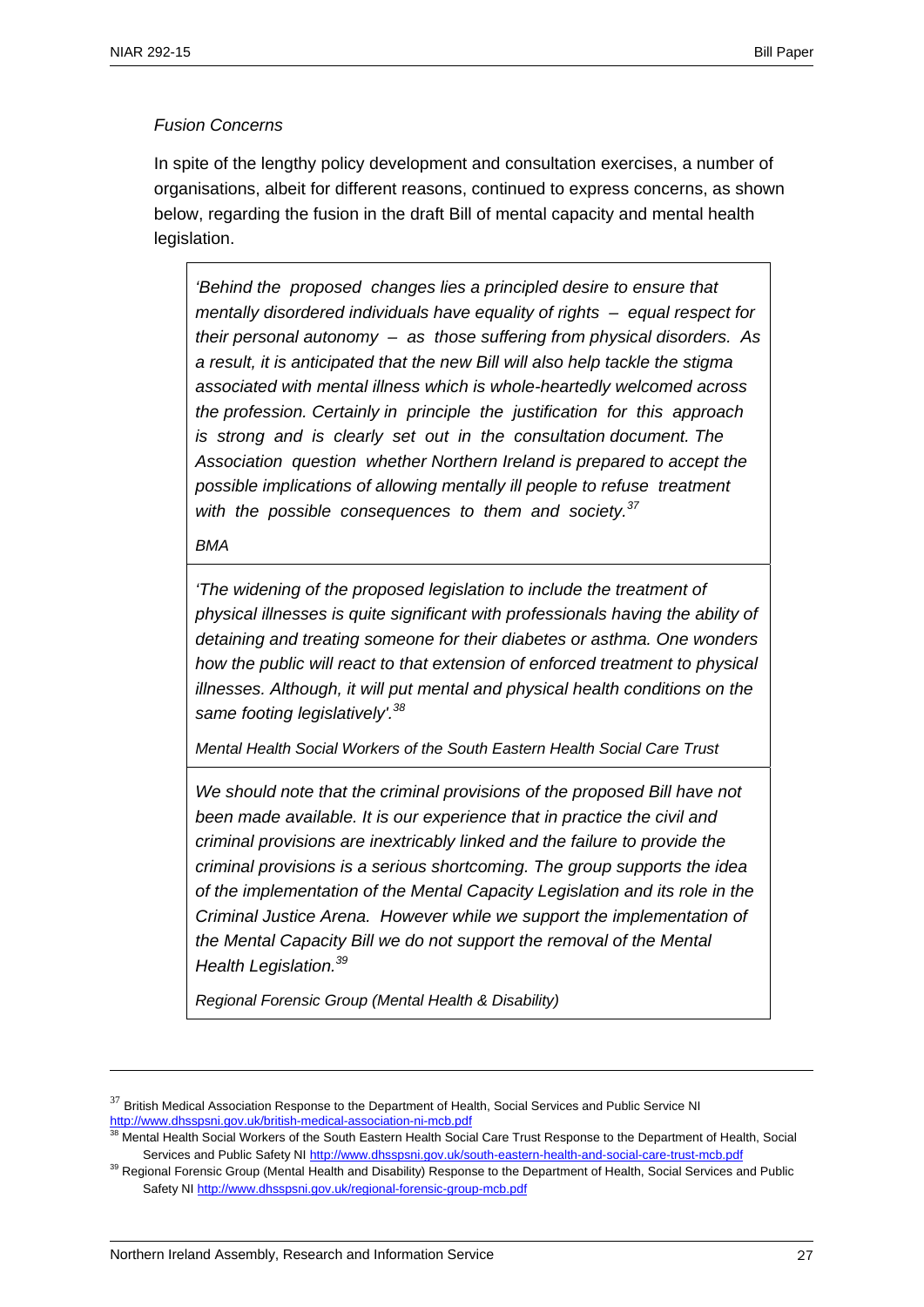## *Fusion Concerns*

In spite of the lengthy policy development and consultation exercises, a number of organisations, albeit for different reasons, continued to express concerns, as shown below, regarding the fusion in the draft Bill of mental capacity and mental health legislation.

*'Behind the proposed changes lies a principled desire to ensure that mentally disordered individuals have equality of rights – equal respect for their personal autonomy – as those suffering from physical disorders. As a result, it is anticipated that the new Bill will also help tackle the stigma associated with mental illness which is whole-heartedly welcomed across the profession. Certainly in principle the justification for this approach is strong and is clearly set out in the consultation document. The Association question whether Northern Ireland is prepared to accept the possible implications of allowing mentally ill people to refuse treatment with the possible consequences to them and society.37* 

*BMA* 

1

*'The widening of the proposed legislation to include the treatment of physical illnesses is quite significant with professionals having the ability of detaining and treating someone for their diabetes or asthma. One wonders how the public will react to that extension of enforced treatment to physical illnesses. Although, it will put mental and physical health conditions on the same footing legislatively'.38* 

*Mental Health Social Workers of the South Eastern Health Social Care Trust*

*We should note that the criminal provisions of the proposed Bill have not been made available. It is our experience that in practice the civil and criminal provisions are inextricably linked and the failure to provide the criminal provisions is a serious shortcoming. The group supports the idea of the implementation of the Mental Capacity Legislation and its role in the Criminal Justice Arena. However while we support the implementation of the Mental Capacity Bill we do not support the removal of the Mental Health Legislation.39* 

*Regional Forensic Group (Mental Health & Disability)*

 $37$  British Medical Association Response to the Department of Health, Social Services and Public Service NI http://www.dhsspsni.gov.uk/british-medical-association-ni-mcb.pdf

<sup>38</sup> Mental Health Social Workers of the South Eastern Health Social Care Trust Response to the Department of Health, Social Services and Public Safety NI http://www.dhsspsni.gov.uk/south-eastern-health-and-social-care-trust-mcb.pdf

<sup>&</sup>lt;sup>39</sup> Regional Forensic Group (Mental Health and Disability) Response to the Department of Health, Social Services and Public Safety NI http://www.dhsspsni.gov.uk/regional-forensic-group-mcb.pdf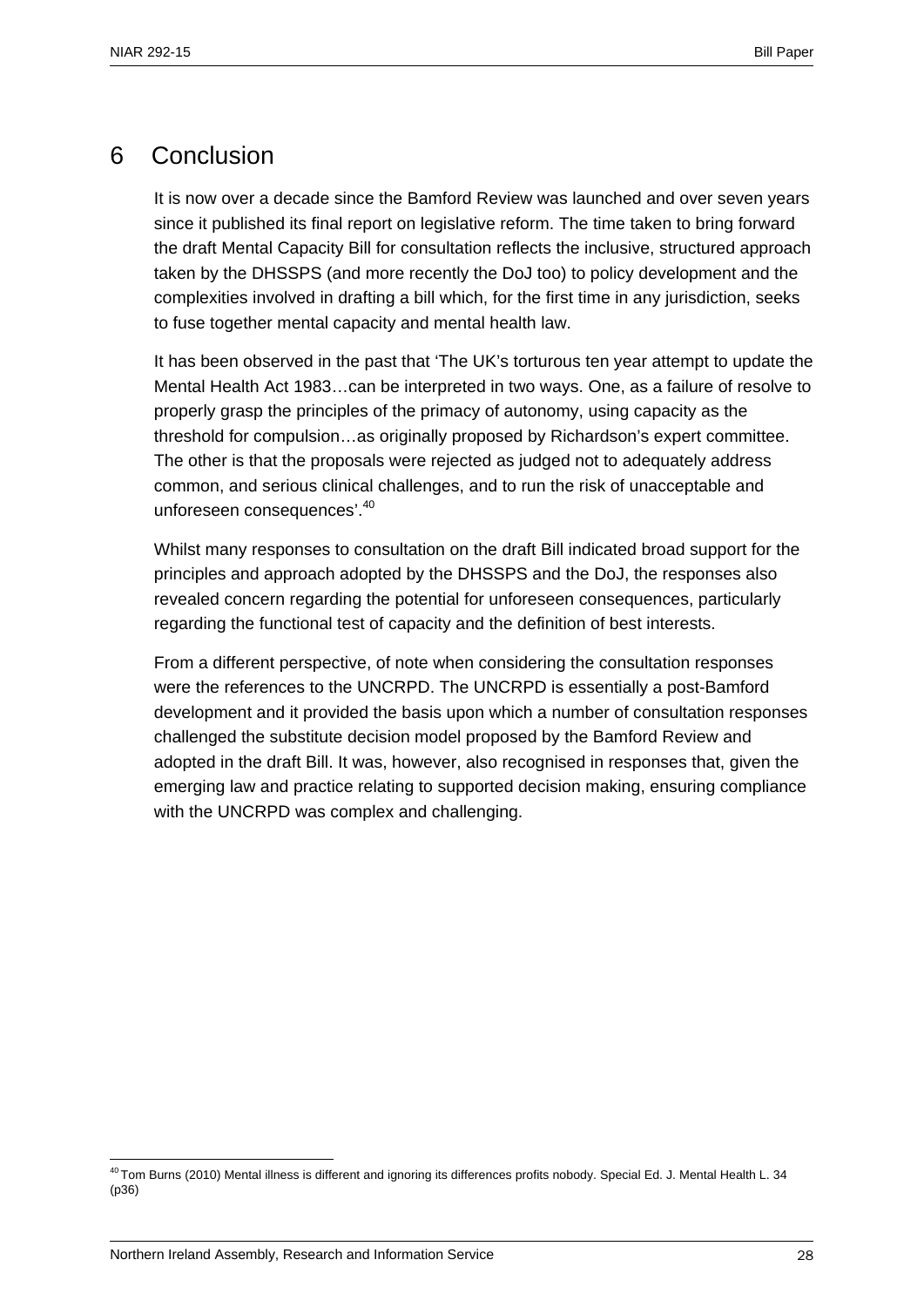# 6 Conclusion

It is now over a decade since the Bamford Review was launched and over seven years since it published its final report on legislative reform. The time taken to bring forward the draft Mental Capacity Bill for consultation reflects the inclusive, structured approach taken by the DHSSPS (and more recently the DoJ too) to policy development and the complexities involved in drafting a bill which, for the first time in any jurisdiction, seeks to fuse together mental capacity and mental health law.

It has been observed in the past that 'The UK's torturous ten year attempt to update the Mental Health Act 1983…can be interpreted in two ways. One, as a failure of resolve to properly grasp the principles of the primacy of autonomy, using capacity as the threshold for compulsion…as originally proposed by Richardson's expert committee. The other is that the proposals were rejected as judged not to adequately address common, and serious clinical challenges, and to run the risk of unacceptable and unforeseen consequences'.40

Whilst many responses to consultation on the draft Bill indicated broad support for the principles and approach adopted by the DHSSPS and the DoJ, the responses also revealed concern regarding the potential for unforeseen consequences, particularly regarding the functional test of capacity and the definition of best interests.

From a different perspective, of note when considering the consultation responses were the references to the UNCRPD. The UNCRPD is essentially a post-Bamford development and it provided the basis upon which a number of consultation responses challenged the substitute decision model proposed by the Bamford Review and adopted in the draft Bill. It was, however, also recognised in responses that, given the emerging law and practice relating to supported decision making, ensuring compliance with the UNCRPD was complex and challenging.

<sup>1</sup>  $40$  Tom Burns (2010) Mental illness is different and ignoring its differences profits nobody. Special Ed. J. Mental Health L. 34 (p36)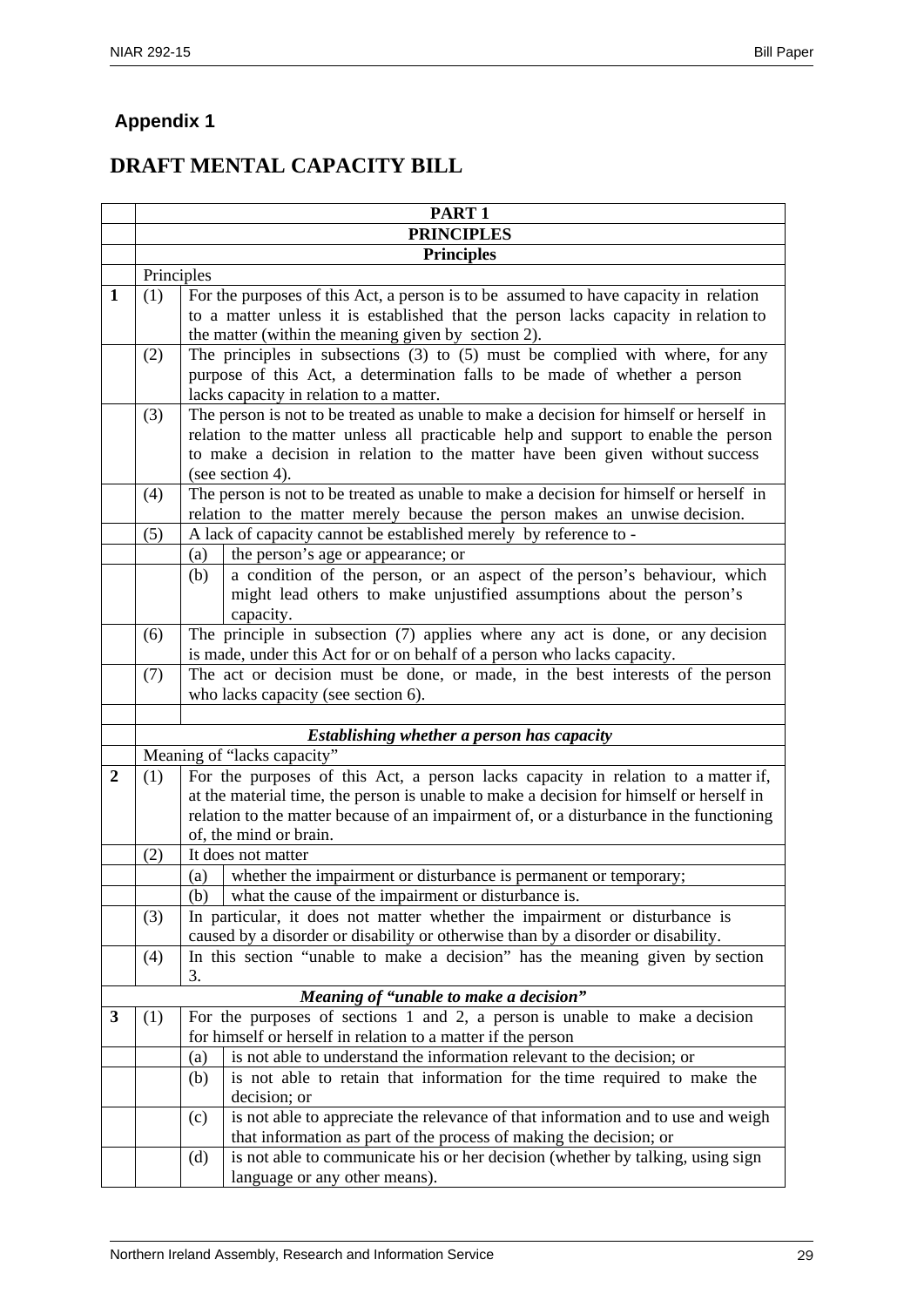# **Appendix 1**

# **DRAFT MENTAL CAPACITY BILL**

|                |            | PART <sub>1</sub>                                                                                                      |  |  |  |  |
|----------------|------------|------------------------------------------------------------------------------------------------------------------------|--|--|--|--|
|                |            | <b>PRINCIPLES</b>                                                                                                      |  |  |  |  |
|                |            | <b>Principles</b>                                                                                                      |  |  |  |  |
|                | Principles |                                                                                                                        |  |  |  |  |
| 1              | (1)        | For the purposes of this Act, a person is to be assumed to have capacity in relation                                   |  |  |  |  |
|                |            | to a matter unless it is established that the person lacks capacity in relation to                                     |  |  |  |  |
|                |            | the matter (within the meaning given by section 2).                                                                    |  |  |  |  |
|                | (2)        | The principles in subsections $(3)$ to $(5)$ must be complied with where, for any                                      |  |  |  |  |
|                |            | purpose of this Act, a determination falls to be made of whether a person                                              |  |  |  |  |
|                |            | lacks capacity in relation to a matter.                                                                                |  |  |  |  |
|                | (3)        | The person is not to be treated as unable to make a decision for himself or herself in                                 |  |  |  |  |
|                |            | relation to the matter unless all practicable help and support to enable the person                                    |  |  |  |  |
|                |            | to make a decision in relation to the matter have been given without success                                           |  |  |  |  |
|                | (4)        | (see section 4).<br>The person is not to be treated as unable to make a decision for himself or herself in             |  |  |  |  |
|                |            | relation to the matter merely because the person makes an unwise decision.                                             |  |  |  |  |
|                | (5)        | A lack of capacity cannot be established merely by reference to -                                                      |  |  |  |  |
|                |            | the person's age or appearance; or<br>(a)                                                                              |  |  |  |  |
|                |            | a condition of the person, or an aspect of the person's behaviour, which<br>(b)                                        |  |  |  |  |
|                |            | might lead others to make unjustified assumptions about the person's                                                   |  |  |  |  |
|                |            | capacity.                                                                                                              |  |  |  |  |
|                | (6)        | The principle in subsection $(7)$ applies where any act is done, or any decision                                       |  |  |  |  |
|                |            | is made, under this Act for or on behalf of a person who lacks capacity.                                               |  |  |  |  |
|                | (7)        | The act or decision must be done, or made, in the best interests of the person                                         |  |  |  |  |
|                |            | who lacks capacity (see section 6).                                                                                    |  |  |  |  |
|                |            |                                                                                                                        |  |  |  |  |
|                |            | Establishing whether a person has capacity                                                                             |  |  |  |  |
|                |            | Meaning of "lacks capacity"                                                                                            |  |  |  |  |
| $\overline{2}$ | (1)        | For the purposes of this Act, a person lacks capacity in relation to a matter if,                                      |  |  |  |  |
|                |            | at the material time, the person is unable to make a decision for himself or herself in                                |  |  |  |  |
|                |            | relation to the matter because of an impairment of, or a disturbance in the functioning<br>of, the mind or brain.      |  |  |  |  |
|                | (2)        | It does not matter                                                                                                     |  |  |  |  |
|                |            | whether the impairment or disturbance is permanent or temporary;<br>(a)                                                |  |  |  |  |
|                |            | (b) what the cause of the impairment or disturbance is.                                                                |  |  |  |  |
|                | (3)        | In particular, it does not matter whether the impairment or disturbance is                                             |  |  |  |  |
|                |            | caused by a disorder or disability or otherwise than by a disorder or disability.                                      |  |  |  |  |
|                | (4)        | In this section "unable to make a decision" has the meaning given by section                                           |  |  |  |  |
|                |            | 3.                                                                                                                     |  |  |  |  |
|                |            | Meaning of "unable to make a decision"                                                                                 |  |  |  |  |
| 3              | (1)        | For the purposes of sections 1 and 2, a person is unable to make a decision                                            |  |  |  |  |
|                |            | for himself or herself in relation to a matter if the person                                                           |  |  |  |  |
|                |            | is not able to understand the information relevant to the decision; or<br>(a)                                          |  |  |  |  |
|                |            | is not able to retain that information for the time required to make the<br>(b)                                        |  |  |  |  |
|                |            | decision; or                                                                                                           |  |  |  |  |
|                |            | is not able to appreciate the relevance of that information and to use and weigh<br>(c)                                |  |  |  |  |
|                |            | that information as part of the process of making the decision; or                                                     |  |  |  |  |
|                |            | is not able to communicate his or her decision (whether by talking, using sign<br>(d)<br>language or any other means). |  |  |  |  |
|                |            |                                                                                                                        |  |  |  |  |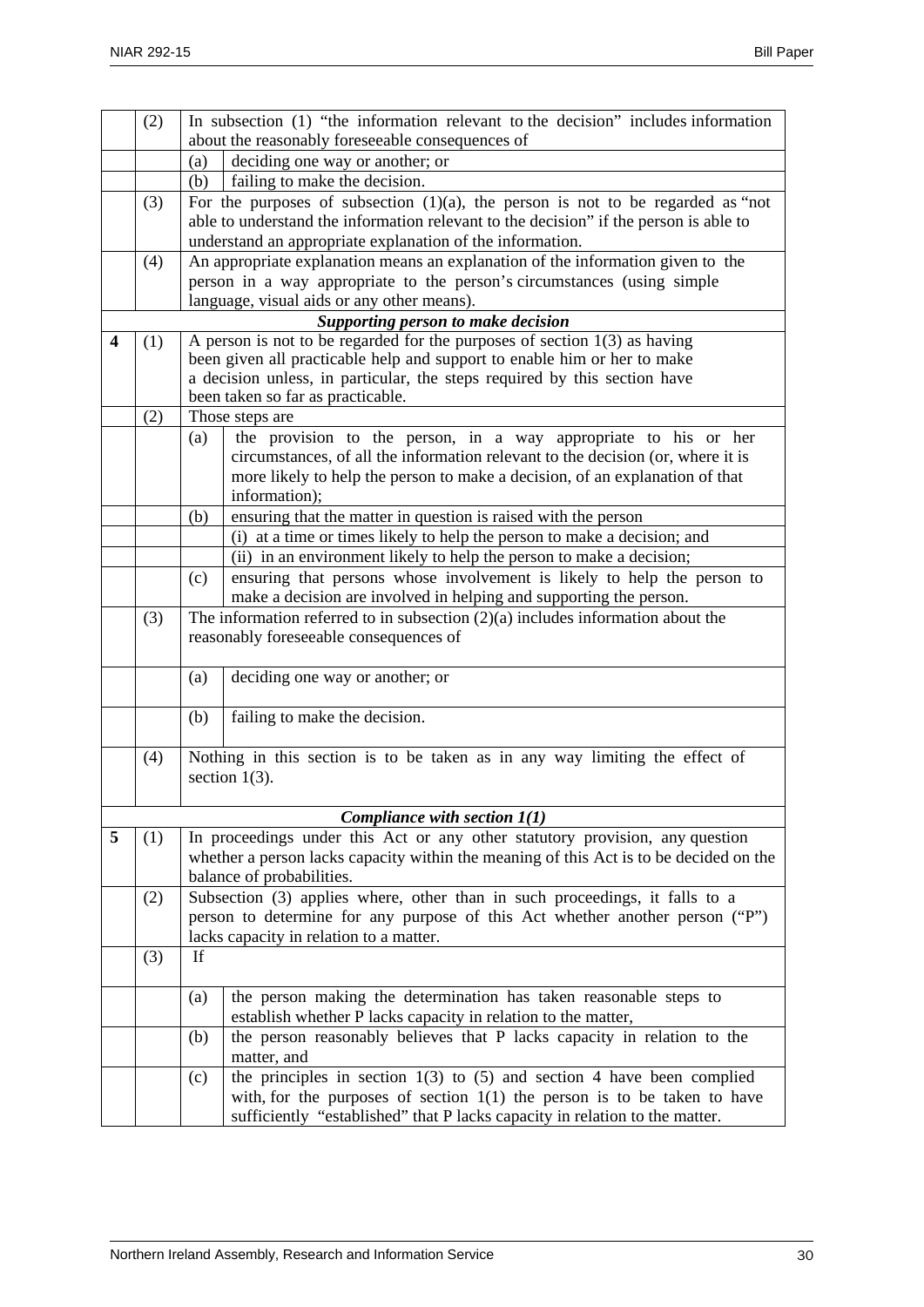|   | (2) | In subsection (1) "the information relevant to the decision" includes information      |                                                                                   |  |
|---|-----|----------------------------------------------------------------------------------------|-----------------------------------------------------------------------------------|--|
|   |     | about the reasonably foreseeable consequences of                                       |                                                                                   |  |
|   |     | (a)                                                                                    | deciding one way or another; or                                                   |  |
|   |     | (b)                                                                                    | failing to make the decision.                                                     |  |
|   | (3) | For the purposes of subsection $(1)(a)$ , the person is not to be regarded as "not"    |                                                                                   |  |
|   |     | able to understand the information relevant to the decision" if the person is able to  |                                                                                   |  |
|   |     | understand an appropriate explanation of the information.                              |                                                                                   |  |
|   | (4) |                                                                                        | An appropriate explanation means an explanation of the information given to the   |  |
|   |     |                                                                                        | person in a way appropriate to the person's circumstances (using simple           |  |
|   |     |                                                                                        | language, visual aids or any other means).                                        |  |
|   |     |                                                                                        | Supporting person to make decision                                                |  |
| 4 | (1) | A person is not to be regarded for the purposes of section $1(3)$ as having            |                                                                                   |  |
|   |     | been given all practicable help and support to enable him or her to make               |                                                                                   |  |
|   |     | a decision unless, in particular, the steps required by this section have              |                                                                                   |  |
|   |     | been taken so far as practicable.                                                      |                                                                                   |  |
|   | (2) |                                                                                        | Those steps are                                                                   |  |
|   |     | (a)                                                                                    | the provision to the person, in a way appropriate to his or her                   |  |
|   |     |                                                                                        | circumstances, of all the information relevant to the decision (or, where it is   |  |
|   |     |                                                                                        | more likely to help the person to make a decision, of an explanation of that      |  |
|   |     |                                                                                        | information);                                                                     |  |
|   |     | (b)                                                                                    | ensuring that the matter in question is raised with the person                    |  |
|   |     |                                                                                        | (i) at a time or times likely to help the person to make a decision; and          |  |
|   |     |                                                                                        | (ii) in an environment likely to help the person to make a decision;              |  |
|   |     | (c)                                                                                    | ensuring that persons whose involvement is likely to help the person to           |  |
|   |     |                                                                                        | make a decision are involved in helping and supporting the person.                |  |
|   | (3) |                                                                                        | The information referred to in subsection $(2)(a)$ includes information about the |  |
|   |     |                                                                                        | reasonably foreseeable consequences of                                            |  |
|   |     |                                                                                        |                                                                                   |  |
|   |     | (a)                                                                                    | deciding one way or another; or                                                   |  |
|   |     | (b)                                                                                    | failing to make the decision.                                                     |  |
|   | (4) | Nothing in this section is to be taken as in any way limiting the effect of            |                                                                                   |  |
|   |     | section $1(3)$ .                                                                       |                                                                                   |  |
|   |     |                                                                                        |                                                                                   |  |
|   |     |                                                                                        | Compliance with section $1(1)$                                                    |  |
| 5 | (1) | In proceedings under this Act or any other statutory provision, any question           |                                                                                   |  |
|   |     | whether a person lacks capacity within the meaning of this Act is to be decided on the |                                                                                   |  |
|   |     | balance of probabilities.                                                              |                                                                                   |  |
|   | (2) |                                                                                        | Subsection (3) applies where, other than in such proceedings, it falls to a       |  |
|   |     |                                                                                        | person to determine for any purpose of this Act whether another person ("P")      |  |
|   |     |                                                                                        | lacks capacity in relation to a matter.                                           |  |
|   | (3) | If                                                                                     |                                                                                   |  |
|   |     | (a)                                                                                    | the person making the determination has taken reasonable steps to                 |  |
|   |     |                                                                                        | establish whether P lacks capacity in relation to the matter,                     |  |
|   |     | (b)                                                                                    | the person reasonably believes that P lacks capacity in relation to the           |  |
|   |     |                                                                                        | matter, and                                                                       |  |
|   |     | (c)                                                                                    | the principles in section $1(3)$ to $(5)$ and section 4 have been complied        |  |
|   |     |                                                                                        | with, for the purposes of section $1(1)$ the person is to be taken to have        |  |
|   |     |                                                                                        | sufficiently "established" that P lacks capacity in relation to the matter.       |  |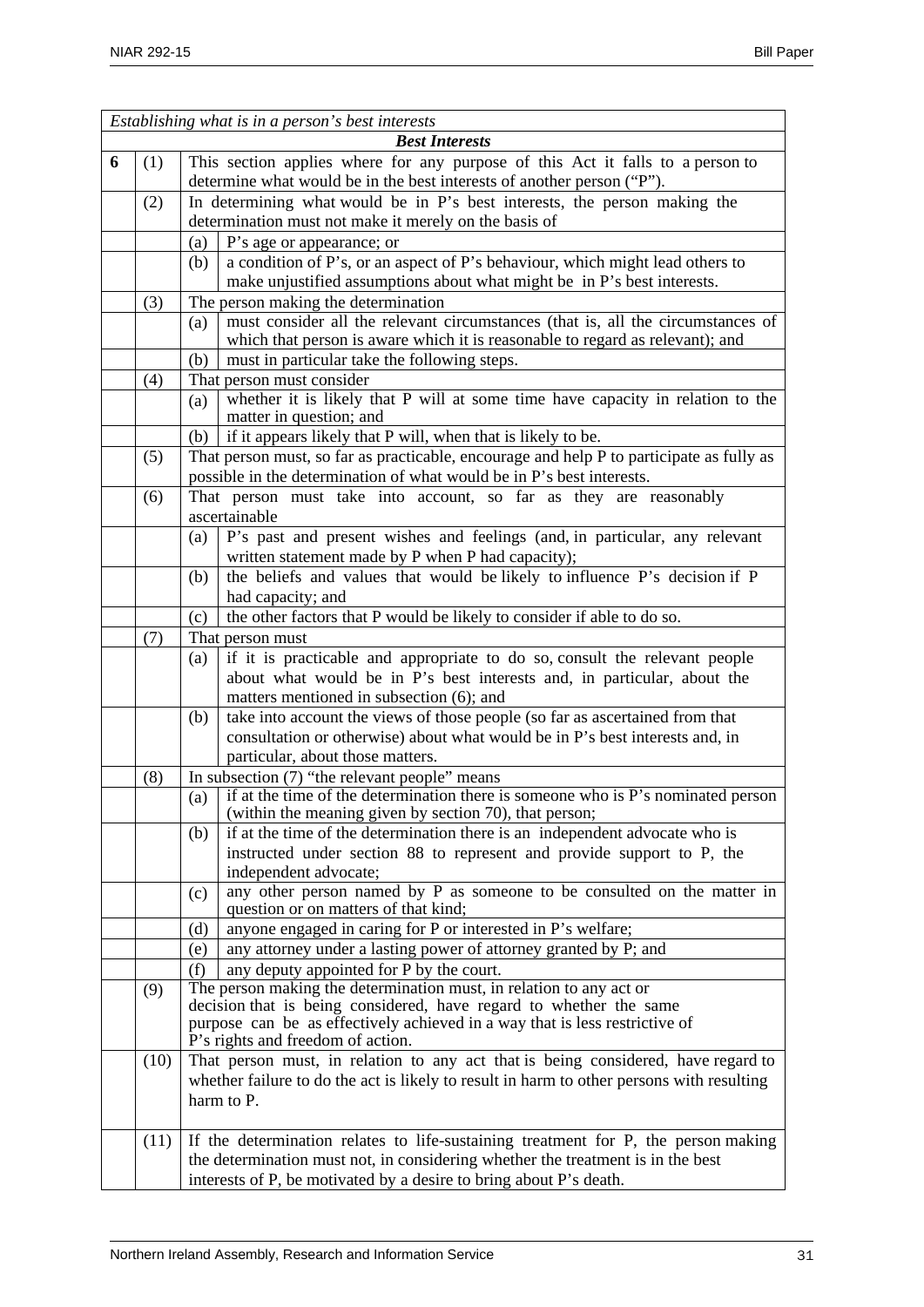|                       | Establishing what is in a person's best interests |                                                                                |                                                                                                                                    |  |
|-----------------------|---------------------------------------------------|--------------------------------------------------------------------------------|------------------------------------------------------------------------------------------------------------------------------------|--|
| <b>Best Interests</b> |                                                   |                                                                                |                                                                                                                                    |  |
| 6                     | (1)                                               | This section applies where for any purpose of this Act it falls to a person to |                                                                                                                                    |  |
|                       |                                                   |                                                                                | determine what would be in the best interests of another person ("P").                                                             |  |
|                       | (2)                                               |                                                                                | In determining what would be in P's best interests, the person making the<br>determination must not make it merely on the basis of |  |
|                       |                                                   |                                                                                |                                                                                                                                    |  |
|                       |                                                   | (a)                                                                            | P's age or appearance; or<br>a condition of P's, or an aspect of P's behaviour, which might lead others to                         |  |
|                       |                                                   | (b)                                                                            | make unjustified assumptions about what might be in P's best interests.                                                            |  |
|                       | (3)                                               |                                                                                | The person making the determination                                                                                                |  |
|                       |                                                   |                                                                                | must consider all the relevant circumstances (that is, all the circumstances of                                                    |  |
|                       |                                                   | (a)                                                                            | which that person is aware which it is reasonable to regard as relevant); and                                                      |  |
|                       |                                                   | (b)                                                                            | must in particular take the following steps.                                                                                       |  |
|                       | (4)                                               |                                                                                | That person must consider                                                                                                          |  |
|                       |                                                   | (a)                                                                            | whether it is likely that P will at some time have capacity in relation to the                                                     |  |
|                       |                                                   |                                                                                | matter in question; and                                                                                                            |  |
|                       |                                                   | (b)                                                                            | if it appears likely that P will, when that is likely to be.                                                                       |  |
|                       | (5)                                               |                                                                                | That person must, so far as practicable, encourage and help P to participate as fully as                                           |  |
|                       |                                                   |                                                                                | possible in the determination of what would be in P's best interests.                                                              |  |
|                       | (6)                                               |                                                                                | That person must take into account, so far as they are reasonably                                                                  |  |
|                       |                                                   |                                                                                | ascertainable                                                                                                                      |  |
|                       |                                                   | (a)                                                                            | P's past and present wishes and feelings (and, in particular, any relevant                                                         |  |
|                       |                                                   |                                                                                | written statement made by P when P had capacity);                                                                                  |  |
|                       |                                                   | (b)                                                                            | the beliefs and values that would be likely to influence P's decision if P                                                         |  |
|                       |                                                   |                                                                                | had capacity; and                                                                                                                  |  |
|                       |                                                   | (c)                                                                            | the other factors that P would be likely to consider if able to do so.                                                             |  |
|                       | (7)                                               |                                                                                | That person must                                                                                                                   |  |
|                       |                                                   | (a)                                                                            | if it is practicable and appropriate to do so, consult the relevant people                                                         |  |
|                       |                                                   |                                                                                | about what would be in P's best interests and, in particular, about the                                                            |  |
|                       |                                                   |                                                                                | matters mentioned in subsection (6); and                                                                                           |  |
|                       |                                                   | (b)                                                                            | take into account the views of those people (so far as ascertained from that                                                       |  |
|                       |                                                   |                                                                                | consultation or otherwise) about what would be in P's best interests and, in                                                       |  |
|                       |                                                   |                                                                                | particular, about those matters.                                                                                                   |  |
|                       | (8)                                               |                                                                                | In subsection (7) "the relevant people" means                                                                                      |  |
|                       |                                                   | (a)                                                                            | if at the time of the determination there is someone who is P's nominated person                                                   |  |
|                       |                                                   |                                                                                | (within the meaning given by section 70), that person;                                                                             |  |
|                       |                                                   | (b)                                                                            | if at the time of the determination there is an independent advocate who is                                                        |  |
|                       |                                                   |                                                                                | instructed under section 88 to represent and provide support to P, the<br>independent advocate;                                    |  |
|                       |                                                   |                                                                                | any other person named by P as someone to be consulted on the matter in                                                            |  |
|                       |                                                   | (c)                                                                            | question or on matters of that kind;                                                                                               |  |
|                       |                                                   | (d)                                                                            | anyone engaged in caring for P or interested in P's welfare;                                                                       |  |
|                       |                                                   | (e)                                                                            | any attorney under a lasting power of attorney granted by P; and                                                                   |  |
|                       |                                                   | (f)                                                                            | any deputy appointed for P by the court.                                                                                           |  |
|                       | (9)                                               |                                                                                | The person making the determination must, in relation to any act or                                                                |  |
|                       |                                                   |                                                                                | decision that is being considered, have regard to whether the same                                                                 |  |
|                       |                                                   |                                                                                | purpose can be as effectively achieved in a way that is less restrictive of                                                        |  |
|                       |                                                   |                                                                                | P's rights and freedom of action.                                                                                                  |  |
|                       | (10)                                              |                                                                                | That person must, in relation to any act that is being considered, have regard to                                                  |  |
|                       |                                                   |                                                                                | whether failure to do the act is likely to result in harm to other persons with resulting<br>harm to P.                            |  |
|                       |                                                   |                                                                                |                                                                                                                                    |  |
|                       | (11)                                              |                                                                                | If the determination relates to life-sustaining treatment for P, the person making                                                 |  |
|                       |                                                   |                                                                                | the determination must not, in considering whether the treatment is in the best                                                    |  |
|                       |                                                   |                                                                                | interests of P, be motivated by a desire to bring about P's death.                                                                 |  |
|                       |                                                   |                                                                                |                                                                                                                                    |  |